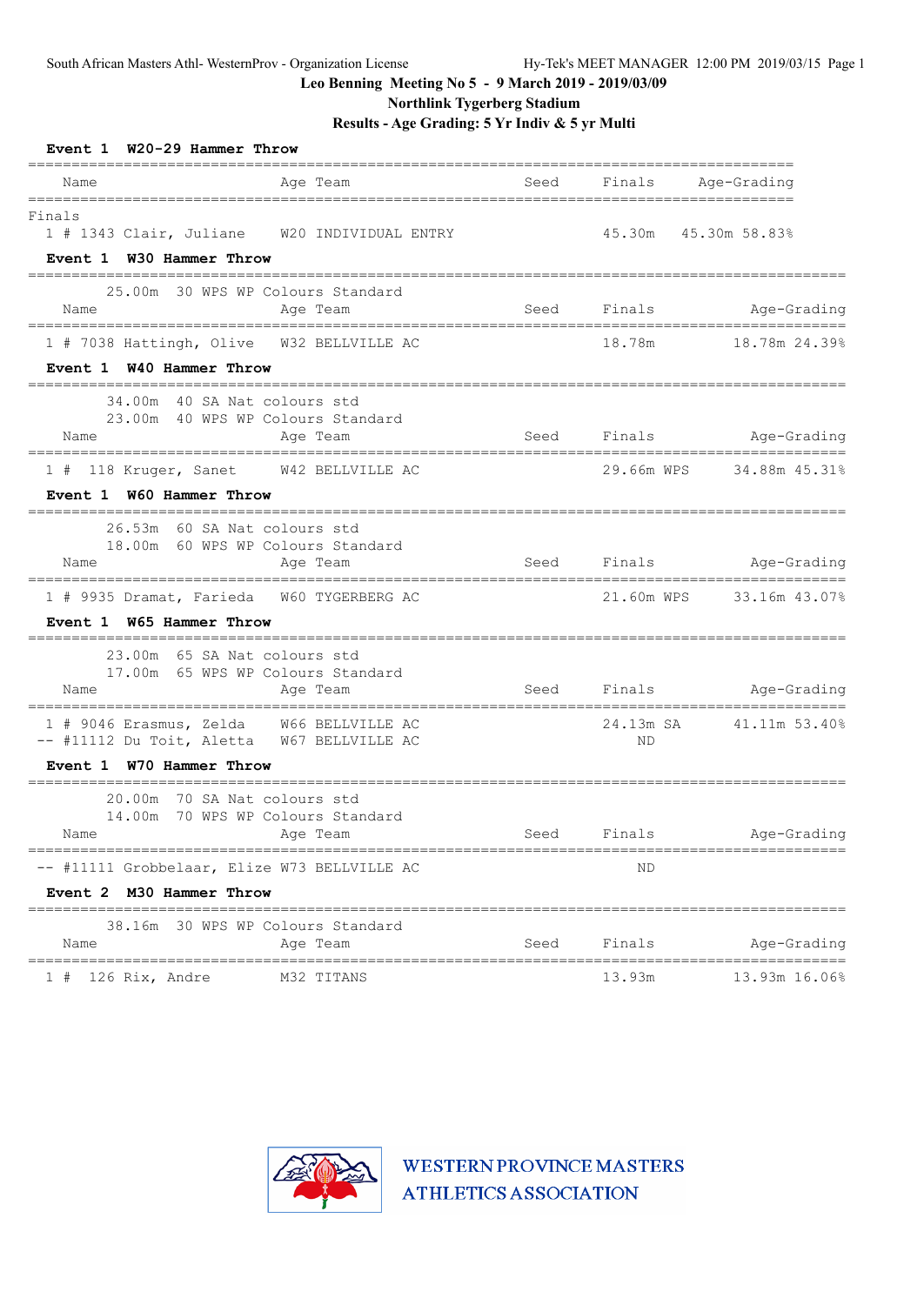**Northlink Tygerberg Stadium**

**Results - Age Grading: 5 Yr Indiv & 5 yr Multi**

| Event 1 W20-29 Hammer Throw                                                                                        | =======    |      |             |                          |
|--------------------------------------------------------------------------------------------------------------------|------------|------|-------------|--------------------------|
| Name<br>---------                                                                                                  | Age Team   |      |             | Seed Finals Age-Grading  |
| Finals<br>1 # 1343 Clair, Juliane W20 INDIVIDUAL ENTRY<br>Event 1 W30 Hammer Throw                                 |            |      |             | 45.30m  45.30m  58.83%   |
|                                                                                                                    |            |      |             |                          |
| 25.00m 30 WPS WP Colours Standard<br>Name                                                                          | Age Team   |      |             | Seed Finals Age-Grading  |
| 1 # 7038 Hattingh, Olive  W32 BELLVILLE AC<br>Event 1 W40 Hammer Throw                                             |            |      |             |                          |
| 34.00m 40 SA Nat colours std<br>23.00m 40 WPS WP Colours Standard<br>Name                                          | Age Team   |      |             | Seed Finals Age-Grading  |
| 1 # 118 Kruger, Sanet W42 BELLVILLE AC<br>Event 1 W60 Hammer Throw                                                 |            |      |             | 29.66m WPS 34.88m 45.31% |
| 26.53m 60 SA Nat colours std<br>18.00m 60 WPS WP Colours Standard<br>Name                                          | Age Team   |      | Seed Finals | Age-Grading              |
| 1 # 9935 Dramat, Farieda W60 TYGERBERG AC<br>Event 1 W65 Hammer Throw                                              |            |      |             | 21.60m WPS 33.16m 43.07% |
| 23.00m 65 SA Nat colours std<br>17.00m 65 WPS WP Colours Standard<br>Name                                          | Age Team   |      |             | Seed Finals Age-Grading  |
| 1 # 9046 Erasmus, Zelda W66 BELLVILLE AC<br>-- #11112 Du Toit, Aletta W67 BELLVILLE AC<br>Event 1 W70 Hammer Throw |            |      | ND          | 24.13m SA 41.11m 53.40%  |
| 20.00m 70 SA Nat colours std<br>14.00m 70 WPS WP Colours Standard                                                  |            |      |             |                          |
| Name Aqe Team                                                                                                      |            |      |             | Seed Finals Age-Grading  |
| -- #11111 Grobbelaar, Elize W73 BELLVILLE AC                                                                       |            |      | ND          |                          |
| Event 2 M30 Hammer Throw                                                                                           |            |      |             |                          |
| 38.16m 30 WPS WP Colours Standard<br>Name                                                                          | Age Team   | Seed | Finals      | Age-Grading              |
| $1$ # 126 Rix, Andre                                                                                               | M32 TITANS |      | 13.93m      | 13.93m 16.06%            |

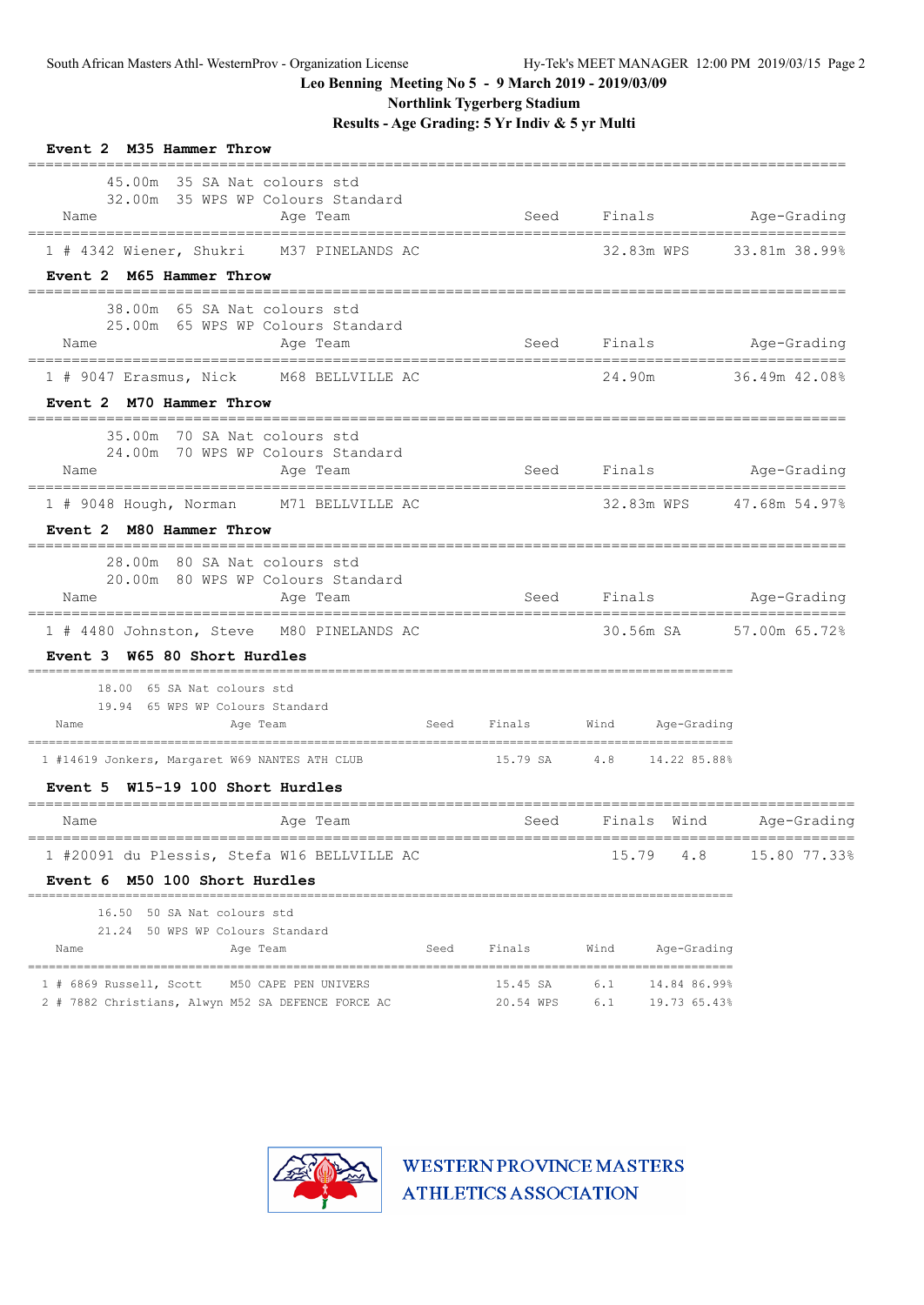**Northlink Tygerberg Stadium**

**Results - Age Grading: 5 Yr Indiv & 5 yr Multi**

| Event 2 M35 Hammer Throw                                                                              |      |                       |                                            |                         |
|-------------------------------------------------------------------------------------------------------|------|-----------------------|--------------------------------------------|-------------------------|
| 45.00m 35 SA Nat colours std<br>32.00m 35 WPS WP Colours Standard<br>Age Team<br>Name                 |      | Seed                  |                                            | Finals Age-Grading      |
| 1 # 4342 Wiener, Shukri M37 PINELANDS AC<br>Event 2 M65 Hammer Throw                                  |      |                       | 32.83m WPS                                 | 33.81m 38.99%           |
| 38.00m 65 SA Nat colours std<br>25.00m 65 WPS WP Colours Standard<br>Name<br>Age Team                 |      | Seed                  | Finals                                     | Age-Grading             |
| 1 # 9047 Erasmus, Nick M68 BELLVILLE AC<br>Event 2 M70 Hammer Throw                                   |      |                       | 24.90m                                     | 36.49m 42.08%           |
| 35.00m 70 SA Nat colours std<br>24.00m 70 WPS WP Colours Standard<br>Age Team<br>Name                 |      | Seed                  | Finals                                     | Age-Grading             |
| 1 # 9048 Hough, Norman M71 BELLVILLE AC<br>Event 2 M80 Hammer Throw                                   |      |                       | 32.83m WPS                                 | 47.68m 54.97%           |
| 28.00m 80 SA Nat colours std<br>20.00m 80 WPS WP Colours Standard<br>Name<br>Age Team                 |      |                       | Seed Finals Age-Grading                    |                         |
| 1 # 4480 Johnston, Steve M80 PINELANDS AC<br>Event 3 W65 80 Short Hurdles                             |      |                       |                                            | 30.56m SA 57.00m 65.72% |
| 18.00 65 SA Nat colours std<br>19.94 65 WPS WP Colours Standard<br>Name<br>Age Team                   |      |                       | Seed Finals Wind Age-Grading               |                         |
| 1 #14619 Jonkers, Margaret W69 NANTES ATH CLUB<br>W15-19 100 Short Hurdles<br>Event 5                 |      |                       | 15.79 SA 4.8 14.22 85.88%                  |                         |
| =================<br>Age Team<br>Name                                                                 |      | Seed                  | Finals Wind                                | Age-Grading             |
| 1 #20091 du Plessis, Stefa W16 BELLVILLE AC<br>Event 6 M50 100 Short Hurdles                          |      |                       | 4.8<br>15.79                               | 15.80 77.33%            |
| 16.50 50 SA Nat colours std<br>21.24 50 WPS WP Colours Standard<br>Name<br>Age Team                   | Seed | Finals                | Wind<br>Age-Grading                        |                         |
| 1 # 6869 Russell, Scott<br>M50 CAPE PEN UNIVERS<br>2 # 7882 Christians, Alwyn M52 SA DEFENCE FORCE AC |      | 15.45 SA<br>20.54 WPS | 6.1<br>14.84 86.99%<br>6.1<br>19.73 65.43% |                         |

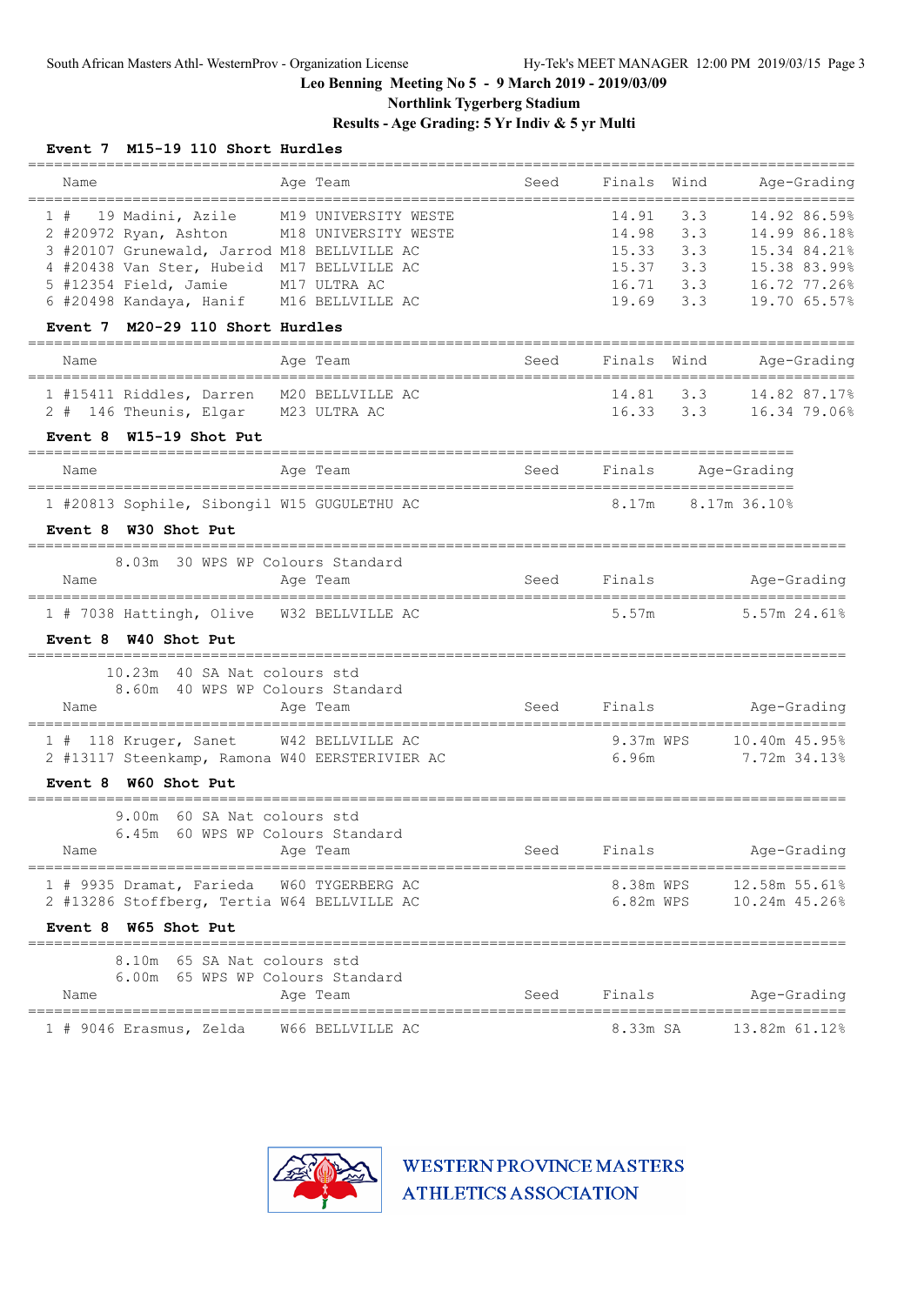**Northlink Tygerberg Stadium**

### **Results - Age Grading: 5 Yr Indiv & 5 yr Multi**

|                                                | ========             |                       |                             |              | ================                   |
|------------------------------------------------|----------------------|-----------------------|-----------------------------|--------------|------------------------------------|
| Name<br>------------------------------------   | Age Team             | Seed                  | Finals<br>================= | Wind         | Age-Grading<br>------------------- |
| 19 Madini, Azile<br>1#                         | M19 UNIVERSITY WESTE |                       | 14.91                       | 3.3          | 14.92 86.59%                       |
| 2 #20972 Ryan, Ashton                          | M18 UNIVERSITY WESTE |                       | 14.98                       | 3.3          | 14.99 86.18%                       |
| 3 #20107 Grunewald, Jarrod M18 BELLVILLE AC    |                      |                       | $15.33$ $3.3$               |              | 15.34 84.21%                       |
| 4 #20438 Van Ster, Hubeid M17 BELLVILLE AC     |                      |                       | 15.37 3.3                   |              | 15.38 83.99%                       |
| 5 #12354 Field, Jamie                          | M17 ULTRA AC         |                       | $16.71$ 3.3                 |              | 16.72 77.26%                       |
| 6 #20498 Kandaya, Hanif M16 BELLVILLE AC       |                      |                       | $19.69$ $3.3$               |              | 19.70 65.57%                       |
| Event 7 M20-29 110 Short Hurdles               |                      |                       |                             |              |                                    |
| Name                                           | Age Team             | Seed                  | Finals                      | Wind         | Age-Grading                        |
| 1 #15411 Riddles, Darren                       | M20 BELLVILLE AC     |                       | 14.81                       | 3.3          | 14.82 87.17%                       |
| 2 # 146 Theunis, Elgar M23 ULTRA AC            |                      |                       |                             | 16.33 3.3    | 16.34 79.06%                       |
| Event $8$ W15-19 Shot Put                      |                      |                       |                             |              |                                    |
| Name                                           | Age Team             | Seed                  | Finals                      |              | Age-Grading                        |
|                                                |                      |                       |                             |              |                                    |
| 1 #20813 Sophile, Sibongil W15 GUGULETHU AC    |                      |                       | 8.17m                       | 8.17m 36.10% |                                    |
| Event 8 W30 Shot Put                           |                      |                       |                             |              |                                    |
| 8.03m 30 WPS WP Colours Standard               |                      |                       |                             |              |                                    |
| Name                                           | Age Team             | Seed                  | Finals                      |              | Age-Grading                        |
| 1 # 7038 Hattingh, Olive W32 BELLVILLE AC      |                      |                       | 5.57m                       |              | $5.57m$ 24.61%                     |
| Event 8 W40 Shot Put                           |                      |                       |                             |              |                                    |
| 10.23m 40 SA Nat colours std                   |                      |                       |                             |              |                                    |
| 8.60m 40 WPS WP Colours Standard               |                      |                       |                             |              |                                    |
| Name                                           | Age Team             | Seed                  | Finals                      |              | Age-Grading                        |
|                                                |                      |                       |                             |              |                                    |
| 1 # 118 Kruger, Sanet                          | W42 BELLVILLE AC     |                       | 9.37m WPS                   |              | 10.40m 45.95%                      |
| 2 #13117 Steenkamp, Ramona W40 EERSTERIVIER AC |                      |                       | 6.96m                       |              | 7.72m 34.13%                       |
| Event 8 W60 Shot Put                           |                      | --------------------- |                             |              | ---------------------              |
| 9.00m 60 SA Nat colours std                    |                      |                       |                             |              |                                    |
| 60 WPS WP Colours Standard<br>6.45m            |                      |                       |                             |              |                                    |
| Name                                           | Age Team             | Seed                  | Finals                      |              | Age-Grading                        |
| 1 # 9935 Dramat, Farieda W60 TYGERBERG AC      |                      |                       |                             |              | 8.38m WPS 12.58m 55.61%            |
| 2 #13286 Stoffberg, Tertia W64 BELLVILLE AC    |                      |                       |                             |              | 6.82m WPS 10.24m 45.26%            |
| Event 8 W65 Shot Put                           |                      |                       |                             |              |                                    |
| 8.10m 65 SA Nat colours std                    |                      |                       |                             |              |                                    |
| 6.00m 65 WPS WP Colours Standard               |                      |                       |                             |              |                                    |
| Name                                           | Age Team             | Seed                  | Finals                      |              | Age-Grading                        |
| 1 # 9046 Erasmus, Zelda W66 BELLVILLE AC       |                      |                       |                             |              | 8.33m SA 13.82m 61.12%             |

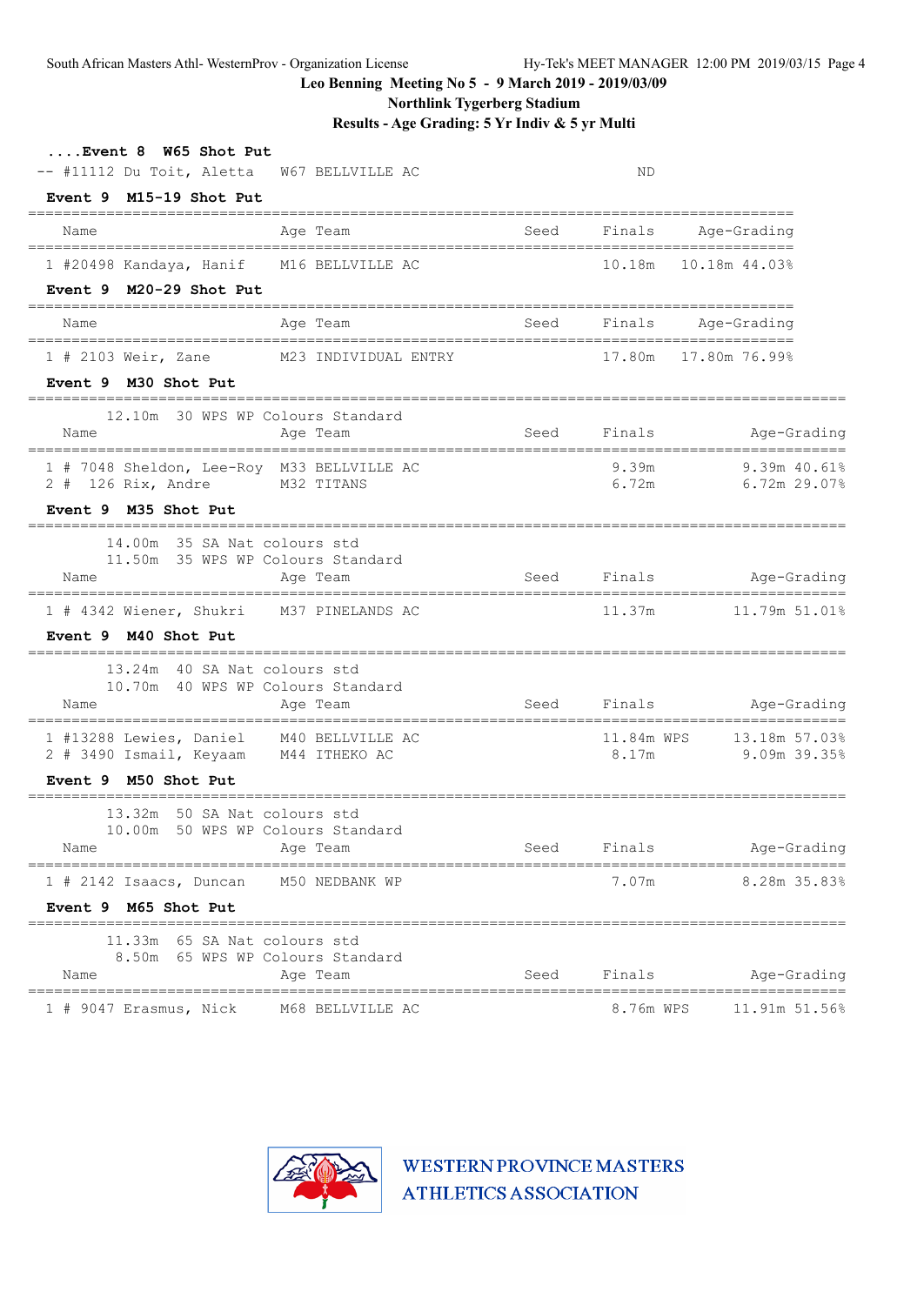South African Masters Athl- WesternProv - Organization License Hy-Tek's MEET MANAGER 12:00 PM 2019/03/15 Page 4

**Leo Benning Meeting No 5 - 9 March 2019 - 2019/03/09**

**Northlink Tygerberg Stadium**

**Results - Age Grading: 5 Yr Indiv & 5 yr Multi**

| Event 8 W65 Shot Put<br>-- #11112 Du Toit, Aletta                                        | W67 BELLVILLE AC     |             | ND                  |                                |
|------------------------------------------------------------------------------------------|----------------------|-------------|---------------------|--------------------------------|
| Event 9 M15-19 Shot Put                                                                  |                      |             |                     |                                |
| Age Team<br>Name                                                                         |                      | Seed        | Finals              | Age-Grading                    |
| 1 #20498 Kandaya, Hanif M16 BELLVILLE AC                                                 |                      |             | 10.18m              | 10.18m 44.03%                  |
| Event 9 M20-29 Shot Put                                                                  |                      |             |                     |                                |
| Age Team<br>Name                                                                         |                      | Seed        |                     | Finals Age-Grading             |
| 1 # 2103 Weir, Zane                                                                      | M23 INDIVIDUAL ENTRY |             | 17.80m              | 17.80m 76.99%                  |
| Event 9 M30 Shot Put                                                                     |                      |             |                     |                                |
| 12.10m 30 WPS WP Colours Standard<br>Name<br>Age Team                                    |                      | Seed        | Finals              | Age-Grading                    |
| 1 # 7048 Sheldon, Lee-Roy M33 BELLVILLE AC<br>$2$ # 126 Rix, Andre<br>M32 TITANS         |                      |             | 9.39m<br>6.72m      | 9.39m 40.618<br>$6.72m$ 29.07% |
| Event 9 M35 Shot Put                                                                     |                      |             |                     |                                |
| 14.00m 35 SA Nat colours std<br>11.50m 35 WPS WP Colours Standard<br>Name<br>Age Team    |                      | Seed Finals |                     | Age-Grading                    |
|                                                                                          |                      |             |                     |                                |
| 1 # 4342 Wiener, Shukri M37 PINELANDS AC<br>Event 9 M40 Shot Put                         |                      |             | 11.37m              | 11.79m 51.01%                  |
| 13.24m 40 SA Nat colours std<br>10.70m 40 WPS WP Colours Standard<br>Name<br>Age Team    |                      | Seed        |                     | Finals Age-Grading             |
| 1 #13288 Lewies, Daniel M40 BELLVILLE AC<br>2 # 3490 Ismail, Keyaam M44 ITHEKO AC        |                      |             | 11.84m WPS<br>8.17m | 13.18m 57.03%<br>9.09m 39.35%  |
| Event 9 M50 Shot Put                                                                     |                      |             |                     |                                |
| 13.32m 50 SA Nat colours std<br>50 WPS WP Colours Standard<br>10.00m<br>Age Team<br>Name |                      | Seed        | Finals              | Age-Grading                    |
|                                                                                          |                      |             |                     |                                |
| $1$ # 2142 Isaacs, Duncan<br>Event 9 M65 Shot Put                                        | M50 NEDBANK WP       |             | 7.07m               | 8.28m 35.83%                   |
| =====================<br>11.33m 65 SA Nat colours std                                    |                      |             |                     |                                |
| 8.50m 65 WPS WP Colours Standard<br>Name<br>Age Team                                     |                      | Seed        | Finals              | Age-Grading<br>==========      |
| 1 # 9047 Erasmus, Nick                                                                   | M68 BELLVILLE AC     |             | 8.76m WPS           | 11.91m 51.56%                  |

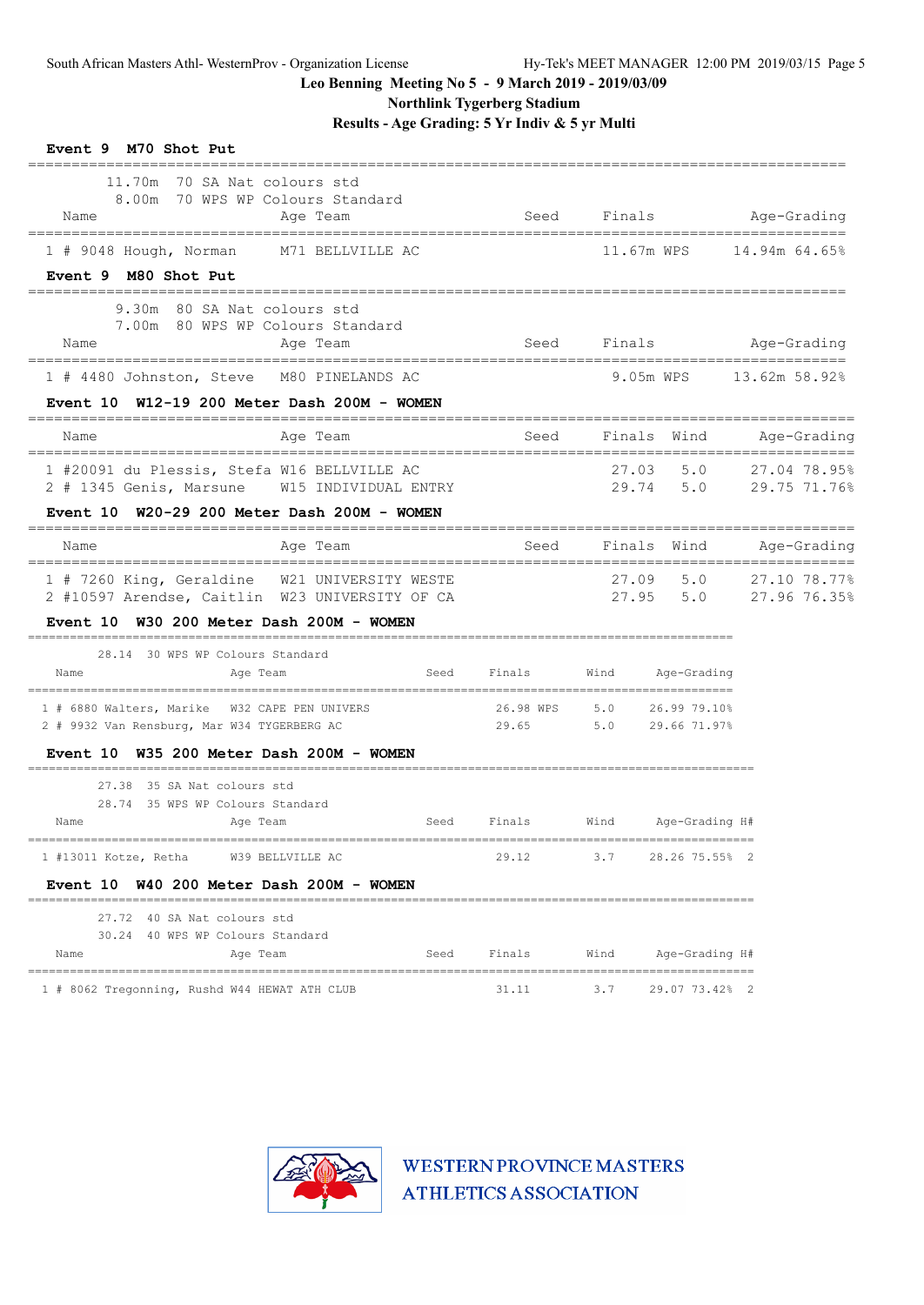**Northlink Tygerberg Stadium**

**Results - Age Grading: 5 Yr Indiv & 5 yr Multi**

| Event 9 M70 Shot Put                                                                                                       |                            |       |                                              |                                            |
|----------------------------------------------------------------------------------------------------------------------------|----------------------------|-------|----------------------------------------------|--------------------------------------------|
| 11.70m 70 SA Nat colours std<br>8.00m 70 WPS WP Colours Standard<br>Age Team<br>Name<br>---------------------------------- | Seed                       |       |                                              | Finals Age-Grading                         |
| 1 # 9048 Hough, Norman<br>M71 BELLVILLE AC                                                                                 |                            |       | 11.67m WPS                                   | 14.94m 64.65%                              |
| Event 9 M80 Shot Put                                                                                                       |                            |       |                                              |                                            |
| 9.30m 80 SA Nat colours std<br>7.00m 80 WPS WP Colours Standard<br>Name<br>Age Team                                        | Seed                       |       |                                              | Finals Age-Grading                         |
| 1 # 4480 Johnston, Steve M80 PINELANDS AC                                                                                  |                            |       | 9.05m WPS                                    | 13.62m 58.92%                              |
| W12-19 200 Meter Dash 200M - WOMEN<br><b>Event 10</b>                                                                      |                            |       |                                              |                                            |
| Age Team<br>Name                                                                                                           | ==============<br>Seed     |       | Finals Wind                                  | Age-Grading                                |
| 1 #20091 du Plessis, Stefa W16 BELLVILLE AC<br>2 # 1345 Genis, Marsune W15 INDIVIDUAL ENTRY                                |                            | 27.03 | 5.0                                          | 27.04 78.95%<br>29.74 5.0 29.75 71.76%     |
| Event $10$ W20-29 200 Meter Dash 200M - WOMEN                                                                              |                            |       |                                              |                                            |
| Age Team<br>Name                                                                                                           | Seed                       |       | Finals Wind                                  | Age-Grading                                |
| 1 # 7260 King, Geraldine W21 UNIVERSITY WESTE<br>2 #10597 Arendse, Caitlin W23 UNIVERSITY OF CA                            |                            | 27.09 |                                              | 5.0 27.10 78.77%<br>27.95 5.0 27.96 76.35% |
| Event 10 W30 200 Meter Dash 200M - WOMEN                                                                                   |                            |       |                                              |                                            |
| 28.14 30 WPS WP Colours Standard<br>Seed<br>Name<br>Age Team                                                               | Finals                     |       | Wind Age-Grading                             |                                            |
| 1 # 6880 Walters, Marike W32 CAPE PEN UNIVERS                                                                              | 26.98 WPS 5.0 26.99 79.10% |       |                                              |                                            |
| 2 # 9932 Van Rensburg, Mar W34 TYGERBERG AC                                                                                | 29.65                      |       | $5.0$ 29.66 71.97%                           |                                            |
| Event 10 W35 200 Meter Dash 200M - WOMEN                                                                                   |                            |       |                                              |                                            |
| 27.38 35 SA Nat colours std<br>28.74 35 WPS WP Colours Standard<br>Name<br>Age Team<br>Seed                                | Finals                     |       | Wind Age-Grading H#                          |                                            |
| 1 #13011 Kotze, Retha W39 BELLVILLE AC                                                                                     | ============<br>29.12      |       | ----------------------<br>3.7 28.26 75.55% 2 |                                            |
| Event 10 W40 200 Meter Dash 200M - WOMEN                                                                                   |                            |       |                                              |                                            |
| 27.72 40 SA Nat colours std                                                                                                |                            |       |                                              |                                            |
| 30.24 40 WPS WP Colours Standard<br>Name<br>Age Team<br>Seed                                                               | Finals                     | Wind  | Age-Grading H#                               |                                            |
| 1 # 8062 Tregonning, Rushd W44 HEWAT ATH CLUB                                                                              | 31.11                      | 3.7   | 29.07 73.42% 2                               |                                            |

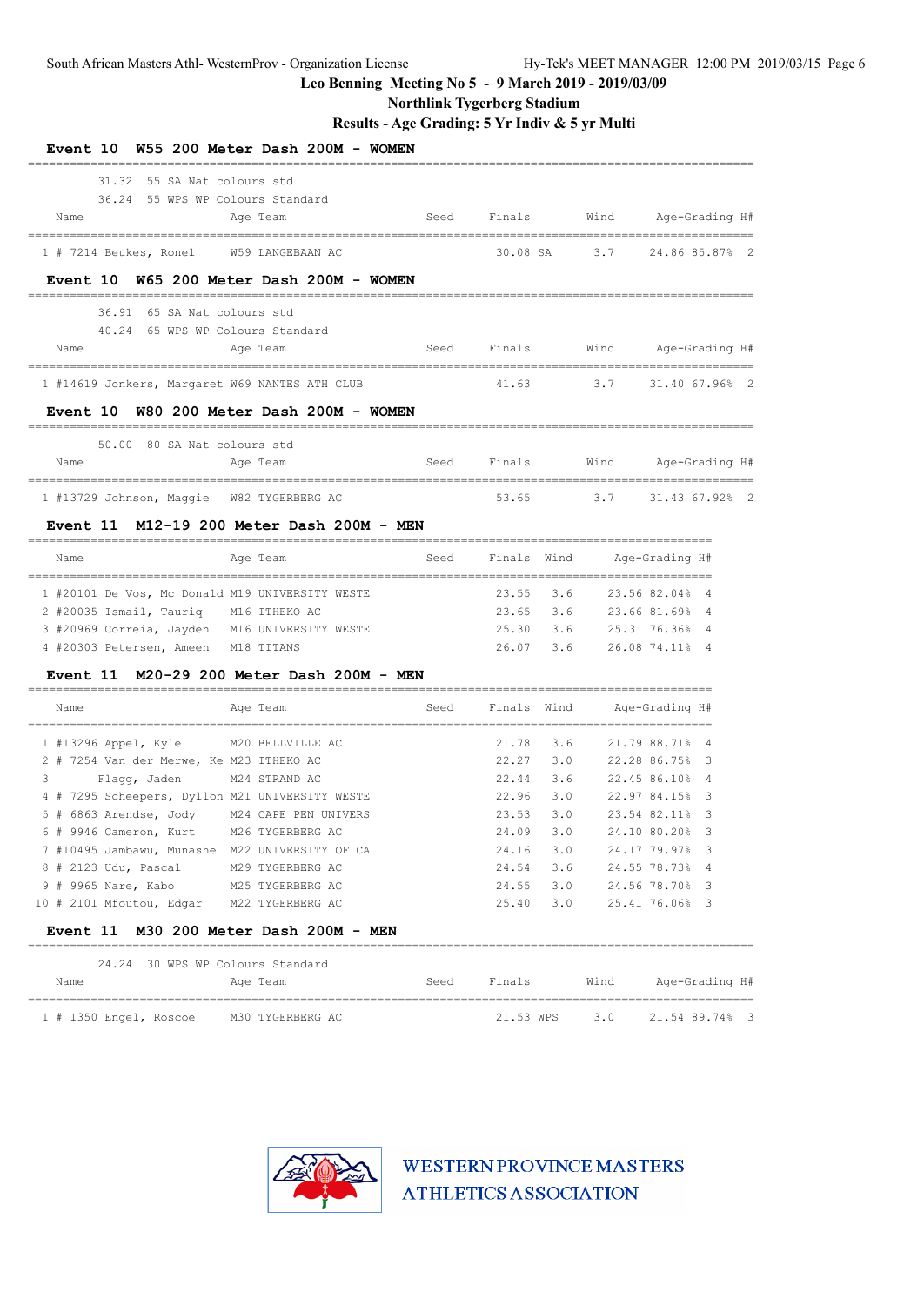**Northlink Tygerberg Stadium**

### **Results - Age Grading: 5 Yr Indiv & 5 yr Multi**

| Event 10 W55 200 Meter Dash 200M - WOMEN        |                  |      |                                 |     |                          |                |                |  |
|-------------------------------------------------|------------------|------|---------------------------------|-----|--------------------------|----------------|----------------|--|
| 31.32 55 SA Nat. colours std                    |                  |      |                                 |     |                          |                |                |  |
| 36.24 55 WPS WP Colours Standard                |                  |      |                                 |     |                          |                |                |  |
| Name                                            | Age Team         |      | Seed Finals Wind Age-Grading H# |     |                          |                |                |  |
| 1 # 7214 Beukes, Ronel W59 LANGEBAAN AC         |                  |      |                                 |     | 30.08 SA 3.7             | 24.86 85.87% 2 |                |  |
| Event 10 W65 200 Meter Dash 200M - WOMEN        |                  |      |                                 |     |                          |                |                |  |
| 36.91 65 SA Nat colours std                     |                  |      |                                 |     |                          |                |                |  |
| 40.24 65 WPS WP Colours Standard                |                  |      |                                 |     |                          |                |                |  |
| Name                                            | Age Team         |      | Seed Finals Wind Age-Grading H# |     |                          |                |                |  |
| 1 #14619 Jonkers, Margaret W69 NANTES ATH CLUB  |                  |      |                                 |     | 41.63 3.7 31.40 67.96% 2 |                |                |  |
| Event 10 W80 200 Meter Dash 200M - WOMEN        |                  |      |                                 |     |                          |                |                |  |
| 50.00 80 SA Nat colours std                     |                  |      |                                 |     |                          |                |                |  |
| Name                                            | Age Team         |      | Seed Finals Wind Age-Grading H# |     |                          |                |                |  |
| 1 #13729 Johnson, Maggie W82 TYGERBERG AC       |                  |      |                                 |     | 53.65 3.7 31.43 67.92% 2 |                |                |  |
| Event 11 M12-19 200 Meter Dash 200M - MEN       |                  |      |                                 |     |                          |                |                |  |
| Name                                            | Age Team         |      | Seed Finals Wind Age-Grading H# |     |                          |                |                |  |
| 1 #20101 De Vos, Mc Donald M19 UNIVERSITY WESTE |                  |      | 23.55                           |     | 3.6 23.56 82.04% 4       |                |                |  |
| 2 #20035 Ismail, Tauriq M16 ITHEKO AC           |                  |      | 23.65                           |     | 3.6 23.66 81.69% 4       |                |                |  |
| 3 #20969 Correia, Jayden M16 UNIVERSITY WESTE   |                  |      | 25.30                           |     | 3.6 25.31 76.36% 4       |                |                |  |
| 4 #20303 Petersen, Ameen M18 TITANS             |                  |      | 26.07                           | 3.6 |                          | 26.08 74.11% 4 |                |  |
| Event 11 M20-29 200 Meter Dash 200M - MEN       |                  |      |                                 |     |                          |                |                |  |
| Name                                            | Age Team         |      | Seed Finals Wind Age-Grading H# |     |                          |                |                |  |
| 1 #13296 Appel, Kyle M20 BELLVILLE AC           |                  |      | 21.78                           | 3.6 |                          | 21.79 88.71% 4 |                |  |
| 2 # 7254 Van der Merwe, Ke M23 ITHEKO AC        |                  |      | 22.27                           |     | 3.0 22.28 86.75% 3       |                |                |  |
| 3 Flagg, Jaden M24 STRAND AC                    |                  |      | 22.44                           |     | 3.6 22.45 86.10% 4       |                |                |  |
| 4 # 7295 Scheepers, Dyllon M21 UNIVERSITY WESTE |                  |      | 22.96                           | 3.0 |                          | 22.97 84.15%   | - 3            |  |
| 5 # 6863 Arendse, Jody M24 CAPE PEN UNIVERS     |                  |      | 23.53                           | 3.0 |                          | 23.54 82.11% 3 |                |  |
| 6 # 9946 Cameron, Kurt M26 TYGERBERG AC         |                  |      | 24.09 3.0                       |     |                          | 24.10 80.20% 3 |                |  |
| 7 #10495 Jambawu, Munashe M22 UNIVERSITY OF CA  |                  |      | 24.16                           | 3.0 |                          | 24.17 79.97% 3 |                |  |
| 8 # 2123 Udu, Pascal                            | M29 TYGERBERG AC |      | 24.54                           | 3.6 |                          | 24.55 78.73% 4 |                |  |
| 9 # 9965 Nare, Kabo M25 TYGERBERG AC            |                  |      | 24.55                           | 3.0 |                          | 24.56 78.70% 3 |                |  |
| 10 # 2101 Mfoutou, Edgar M22 TYGERBERG AC       |                  |      | 25.40                           | 3.0 |                          | 25.41 76.06% 3 |                |  |
| Event 11 M30 200 Meter Dash 200M - MEN          |                  |      |                                 |     |                          |                |                |  |
| 24.24 30 WPS WP Colours Standard                |                  |      |                                 |     |                          |                |                |  |
| Name                                            | Age Team         | Seed | Finals                          |     | Wind                     |                | Age-Grading H# |  |
| 1 # 1350 Engel, Roscoe M30 TYGERBERG AC         |                  |      | 21.53 WPS                       |     | 3.0                      | 21.54 89.74% 3 |                |  |

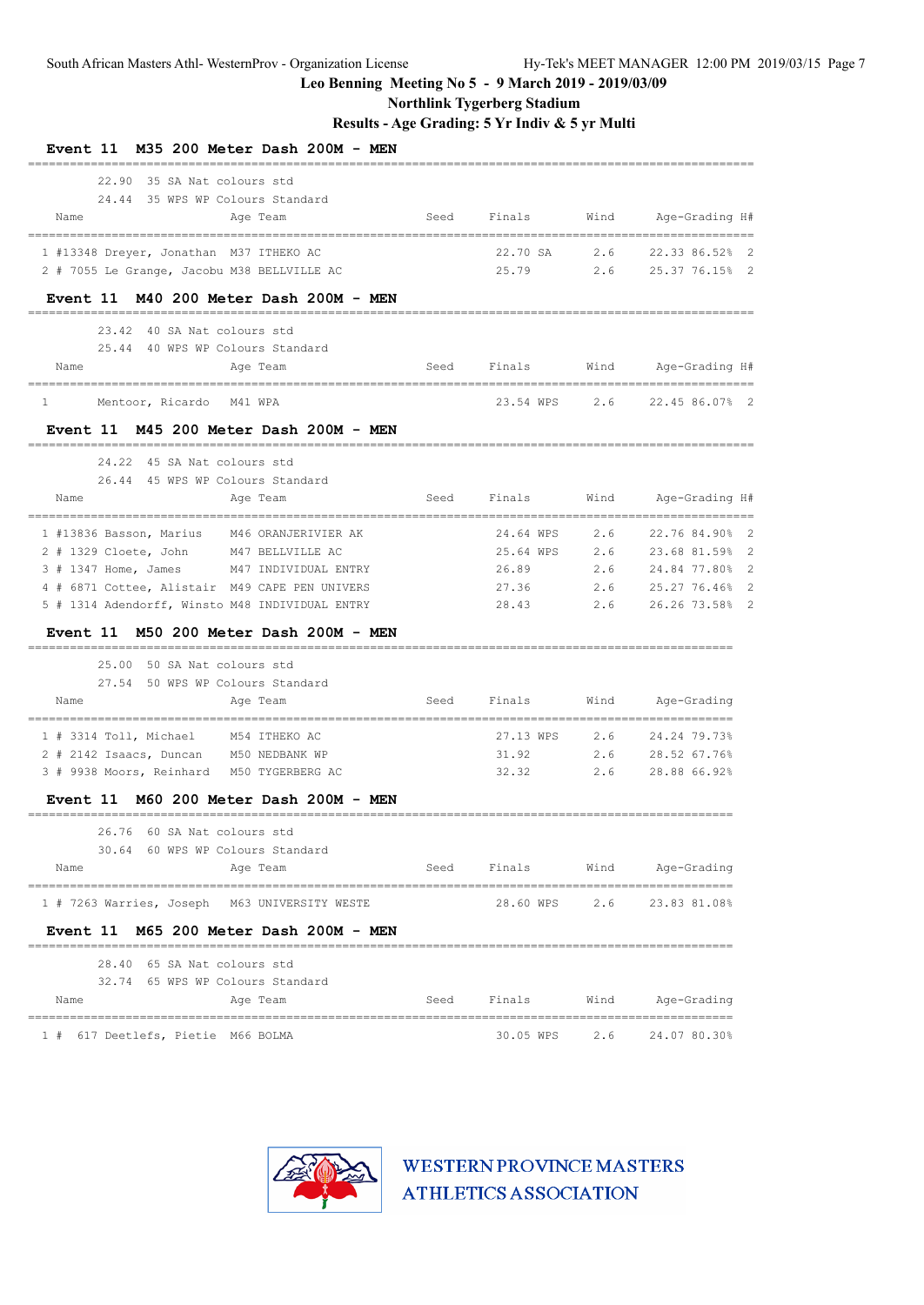**Northlink Tygerberg Stadium**

### **Results - Age Grading: 5 Yr Indiv & 5 yr Multi**

| M35 200 Meter Dash 200M<br><b>Event 11</b><br>MEN                                    |      |                                 |      |                                                       |
|--------------------------------------------------------------------------------------|------|---------------------------------|------|-------------------------------------------------------|
| 22.90<br>35 SA Nat colours std                                                       |      |                                 |      |                                                       |
| 24.44 35 WPS WP Colours Standard                                                     |      |                                 |      |                                                       |
| Name<br>Age Team                                                                     | Seed | Finals                          | Wind | Age-Grading H#                                        |
| 1 #13348 Dreyer, Jonathan M37 ITHEKO AC                                              |      | 22.70 SA                        | 2.6  | 22.33 86.52%<br>2                                     |
| 2 # 7055 Le Grange, Jacobu M38 BELLVILLE AC                                          |      | 25.79                           | 2.6  | 25.37 76.15% 2                                        |
| Event 11 M40 200 Meter Dash 200M - MEN                                               |      |                                 |      |                                                       |
|                                                                                      |      |                                 |      |                                                       |
| 23.42 40 SA Nat colours std<br>25.44 40 WPS WP Colours Standard                      |      |                                 |      |                                                       |
| Name<br>Age Team                                                                     | Seed | Finals                          |      | Wind Age-Grading H#                                   |
| =========                                                                            |      | _______________________________ |      | -------------------------                             |
| $\mathbf{1}$<br>Mentoor, Ricardo M41 WPA                                             |      | 23.54 WPS                       | 2.6  | 22.45 86.07% 2                                        |
| Event 11 M45 200 Meter Dash 200M - MEN                                               |      |                                 |      |                                                       |
| 24.22 45 SA Nat colours std                                                          |      |                                 |      |                                                       |
| 26.44 45 WPS WP Colours Standard                                                     |      |                                 |      |                                                       |
| Name<br>Age Team<br>=====================================                            | Seed | Finals                          | Wind | Age-Grading H#<br>=================================== |
| 1 #13836 Basson, Marius M46 ORANJERIVIER AK                                          |      | 24.64 WPS                       | 2.6  | 22.76 84.90% 2                                        |
| 2 # 1329 Cloete, John M47 BELLVILLE AC                                               |      | 25.64 WPS                       | 2.6  | 23.68 81.59%<br>$\overline{2}$                        |
| 3 # 1347 Home, James<br>M47 INDIVIDUAL ENTRY                                         |      | 26.89                           | 2.6  | 24.84 77.80%<br>$\overline{2}$                        |
| 4 # 6871 Cottee, Alistair M49 CAPE PEN UNIVERS                                       |      | 27.36                           | 2.6  | 25.27 76.46%<br>-2                                    |
| 5 # 1314 Adendorff, Winsto M48 INDIVIDUAL ENTRY                                      |      | 28.43                           | 2.6  | 26.26 73.58%<br>$\overline{2}$                        |
| Event 11 M50 200 Meter Dash 200M - MEN                                               |      |                                 |      |                                                       |
| 25.00 50 SA Nat colours std                                                          |      |                                 |      |                                                       |
| 27.54 50 WPS WP Colours Standard                                                     |      |                                 |      |                                                       |
| Name<br>Age Team                                                                     | Seed | Finals                          | Wind | Age-Grading                                           |
| 1 # 3314 Toll, Michael<br>M54 ITHEKO AC                                              |      | 27.13 WPS                       | 2.6  | ====================================<br>24.24 79.73%  |
| 2 # 2142 Isaacs, Duncan M50 NEDBANK WP                                               |      | 31.92                           | 2.6  | 28.52 67.76%                                          |
| 3 # 9938 Moors, Reinhard M50 TYGERBERG AC                                            |      | 32.32                           | 2.6  | 28.88 66.92%                                          |
| Event 11 M60 200 Meter Dash 200M - MEN                                               |      |                                 |      |                                                       |
| 26.76 60 SA Nat colours std                                                          |      |                                 |      |                                                       |
| 30.64 60 WPS WP Colours Standard                                                     |      |                                 |      |                                                       |
| Name<br>Age Team                                                                     | Seed | Finals                          | Wind | Age-Grading                                           |
| ===================================<br>1 # 7263 Warries, Joseph M63 UNIVERSITY WESTE |      |                                 |      | 28.60 WPS 2.6 23.83 81.08%                            |
| Event 11 M65 200 Meter Dash 200M - MEN                                               |      |                                 |      |                                                       |
|                                                                                      |      |                                 |      |                                                       |
| 28.40 65 SA Nat colours std                                                          |      |                                 |      |                                                       |
| 32.74 65 WPS WP Colours Standard<br>Name<br>Age Team                                 |      | Seed Finals                     |      | Wind Age-Grading                                      |
| --------------------<br>====================================                         |      |                                 |      | ============================                          |
| 1 # 617 Deetlefs, Pietie M66 BOLMA                                                   |      |                                 |      | 30.05 WPS 2.6 24.07 80.30%                            |

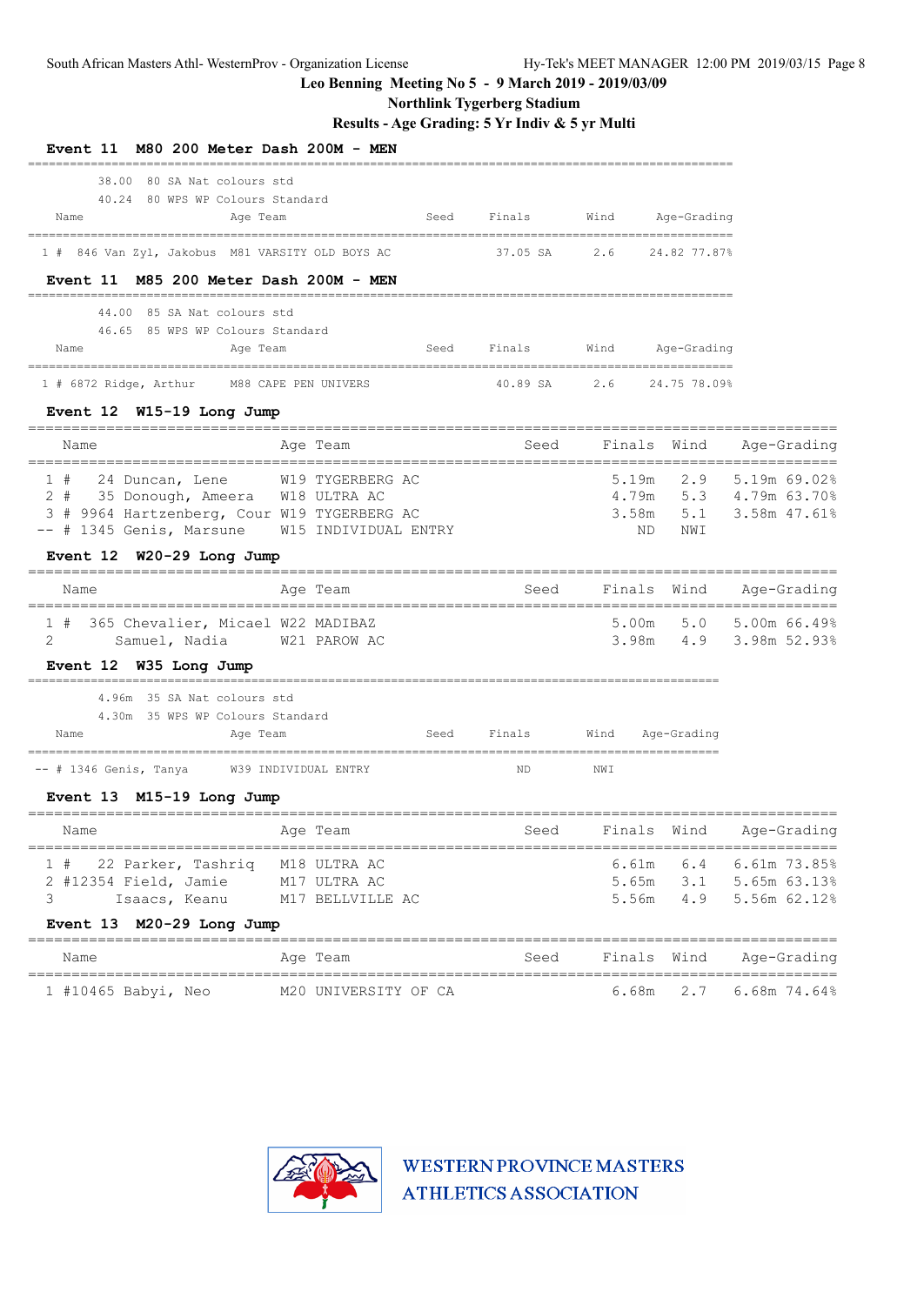**Northlink Tygerberg Stadium**

### **Results - Age Grading: 5 Yr Indiv & 5 yr Multi**

| Event 11 M80 200 Meter Dash 200M - MEN                                                                                                                     |                                               |                           |                         |              |                                                                 |
|------------------------------------------------------------------------------------------------------------------------------------------------------------|-----------------------------------------------|---------------------------|-------------------------|--------------|-----------------------------------------------------------------|
| 38.00 80 SA Nat colours std<br>40.24 80 WPS WP Colours Standard<br>Name<br>Age Team                                                                        | Seed                                          | Finals                    | Wind Age-Grading        |              |                                                                 |
| 1 # 846 Van Zyl, Jakobus M81 VARSITY OLD BOYS AC                                                                                                           |                                               | 37.05 SA 2.6              |                         | 24.82 77.87% |                                                                 |
| Event 11 M85 200 Meter Dash 200M - MEN<br>44.00 85 SA Nat colours std<br>46.65 85 WPS WP Colours Standard<br>Age Team<br>Name                              | Seed                                          | Finals                    | Wind                    | Age-Grading  |                                                                 |
| 1 # 6872 Ridge, Arthur M88 CAPE PEN UNIVERS                                                                                                                |                                               | 40.89 SA 2.6 24.75 78.09% |                         |              |                                                                 |
| Event 12 W15-19 Long Jump<br>Name                                                                                                                          | ---------------------------------<br>Age Team | Seed                      |                         | Finals Wind  | Age-Grading                                                     |
| 1 # 24 Duncan, Lene<br>2 # 35 Donough, Ameera W18 ULTRA AC<br>3 # 9964 Hartzenberg, Cour W19 TYGERBERG AC<br>-- # 1345 Genis, Marsune W15 INDIVIDUAL ENTRY | W19 TYGERBERG AC                              |                           | 5.19m<br>3.58m<br>ND.   | 2.9<br>NWI   | 5.19m 69.02%<br>4.79m 5.3 4.79m 63.70%<br>$5.1$ 3.58m $47.61\%$ |
| Event 12 W20-29 Long Jump                                                                                                                                  |                                               |                           |                         |              |                                                                 |
| Name                                                                                                                                                       | Age Team                                      | Seed                      | Finals Wind             |              | Age-Grading                                                     |
| 1 # 365 Chevalier, Micael W22 MADIBAZ<br>2<br>Samuel, Nadia                                                                                                | W21 PAROW AC                                  |                           | 5.00m<br>3.98m          | 5.0          | 5.00m 66.49%<br>4.9 3.98m 52.93%                                |
| Event 12 W35 Long Jump<br>4.96m 35 SA Nat colours std<br>4.30m 35 WPS WP Colours Standard                                                                  |                                               |                           |                         |              |                                                                 |
| Name<br>Age Team                                                                                                                                           |                                               | Seed Finals Wind          |                         | Age-Grading  |                                                                 |
| -- # 1346 Genis, Tanya M39 INDIVIDUAL ENTRY                                                                                                                |                                               | ND                        | NWI                     |              |                                                                 |
| Event 13 M15-19 Long Jump<br>Name                                                                                                                          | Age Team                                      | Seed                      |                         |              | Finals Wind Age-Grading                                         |
| 1#<br>22 Parker, Tashriq M18 ULTRA AC<br>2 #12354 Field, Jamie<br>3<br>Isaacs, Keanu<br>Event 13 M20-29 Long Jump                                          | M17 ULTRA AC<br>M17 BELLVILLE AC              |                           | 6.61m<br>5.65m<br>5.56m | 4.9          | 6.4 6.61m 73.85%<br>3.1 5.65m 63.13%<br>5.56m 62.12%            |
| Name                                                                                                                                                       | Age Team                                      | Seed                      | Finals                  | Wind         | Age-Grading                                                     |
| 1 #10465 Babyi, Neo                                                                                                                                        | M20 UNIVERSITY OF CA                          |                           | 6.68m                   | 2.7          | $6.68m$ 74.64%                                                  |

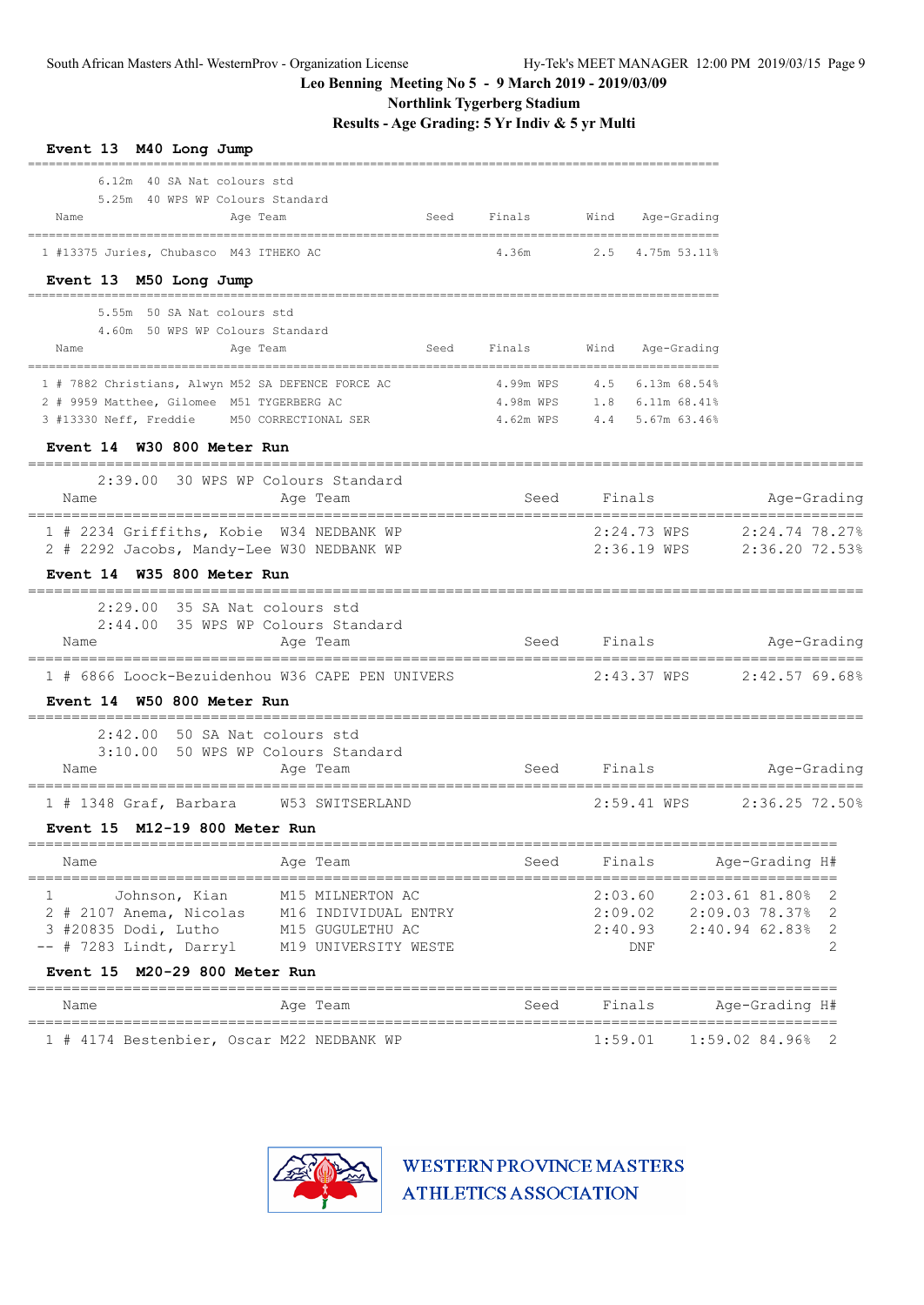**Northlink Tygerberg Stadium**

**Results - Age Grading: 5 Yr Indiv & 5 yr Multi**

| Event 13 M40 Long Jump                                                                           |                                          |      |           |         |                                                |                                  |             |
|--------------------------------------------------------------------------------------------------|------------------------------------------|------|-----------|---------|------------------------------------------------|----------------------------------|-------------|
| 6.12m 40 SA Nat colours std                                                                      |                                          |      |           |         |                                                |                                  |             |
| 5.25m 40 WPS WP Colours Standard<br>Name<br>Age Team                                             |                                          | Seed | Finals    | Wind    | Age-Grading                                    |                                  |             |
| ===========================                                                                      |                                          |      |           |         |                                                |                                  |             |
| 1 #13375 Juries, Chubasco M43 ITHEKO AC                                                          |                                          |      | 4.36m     |         | 2.5 4.75m 53.11%                               |                                  |             |
| Event 13 M50 Long Jump                                                                           |                                          |      |           |         |                                                |                                  |             |
| 5.55m 50 SA Nat colours std                                                                      |                                          |      |           |         |                                                |                                  |             |
| 4.60m 50 WPS WP Colours Standard<br>Name<br>Age Team                                             |                                          | Seed | Finals    | Wind    | Age-Grading                                    |                                  |             |
|                                                                                                  |                                          |      |           |         |                                                |                                  |             |
| 1 # 7882 Christians, Alwyn M52 SA DEFENCE FORCE AC<br>2 # 9959 Matthee, Gilomee M51 TYGERBERG AC |                                          |      | 4.99m WPS |         | 4.5 6.13m 68.54%<br>4.98m WPS 1.8 6.11m 68.41% |                                  |             |
| 3 #13330 Neff, Freddie M50 CORRECTIONAL SER                                                      |                                          |      | 4.62m WPS |         | 4.4 5.67m 63.46%                               |                                  |             |
| Event 14 W30 800 Meter Run                                                                       |                                          |      |           |         |                                                |                                  |             |
| 2:39.00 30 WPS WP Colours Standard                                                               |                                          |      |           |         |                                                |                                  |             |
| Name                                                                                             | Age Team<br>-------------------------    |      | Seed      | Finals  |                                                |                                  | Age-Grading |
| 1 # 2234 Griffiths, Kobie W34 NEDBANK WP<br>2 # 2292 Jacobs, Mandy-Lee W30 NEDBANK WP            |                                          |      |           |         | 2:24.73 WPS<br>2:36.19 WPS                     | 2:24.74 78.27%<br>2:36.20 72.53% |             |
| Event 14 W35 800 Meter Run                                                                       |                                          |      |           |         |                                                |                                  |             |
| 2:29.00 35 SA Nat colours std                                                                    |                                          |      |           |         |                                                |                                  |             |
| 2:44.00 35 WPS WP Colours Standard                                                               |                                          |      |           |         |                                                |                                  |             |
| Name                                                                                             | Age Team                                 |      | Seed      |         | Finals                                         |                                  | Age-Grading |
| 1 # 6866 Loock-Bezuidenhou W36 CAPE PEN UNIVERS                                                  |                                          |      |           |         | 2:43.37 WPS                                    | 2:42.57 69.68%                   |             |
| Event 14 W50 800 Meter Run                                                                       |                                          |      |           |         |                                                |                                  |             |
| 2:42.00 50 SA Nat colours std                                                                    |                                          |      |           |         |                                                |                                  |             |
| 3:10.00 50 WPS WP Colours Standard<br>Name                                                       | Age Team                                 |      | Seed      | Finals  |                                                |                                  | Age-Grading |
|                                                                                                  |                                          |      |           |         |                                                |                                  |             |
| $1$ # 1348 Graf, Barbara                                                                         | W53 SWITSERLAND                          |      |           |         | 2:59.41 WPS                                    | 2:36.25 72.50%                   |             |
| Event 15 M12-19 800 Meter Run                                                                    | =======                                  |      |           |         |                                                |                                  |             |
| Name                                                                                             | Age Team                                 |      | Seed      | Finals  |                                                | Age-Grading H#                   |             |
| Johnson, Kian<br>1                                                                               | M15 MILNERTON AC                         |      |           | 2:03.60 |                                                | 2:03.61 81.80%                   | 2           |
| 2 # 2107 Anema, Nicolas                                                                          | M16 INDIVIDUAL ENTRY                     |      |           | 2:09.02 |                                                | 2:09.03 78.37%                   | 2           |
| 3 #20835 Dodi, Lutho<br>-- # 7283 Lindt, Darryl                                                  | M15 GUGULETHU AC<br>M19 UNIVERSITY WESTE |      |           | 2:40.93 | DNF                                            | $2:40.94$ 62.83%                 | 2<br>2      |
| Event 15 M20-29 800 Meter Run                                                                    |                                          |      |           |         |                                                |                                  |             |
| Name                                                                                             | Age Team                                 |      | Seed      |         | Finals                                         | Age-Grading H#                   |             |
| 1 # 4174 Bestenbier, Oscar M22 NEDBANK WP                                                        | ======================================   |      |           | 1:59.01 |                                                | 1:59.02 84.96%                   | 2           |

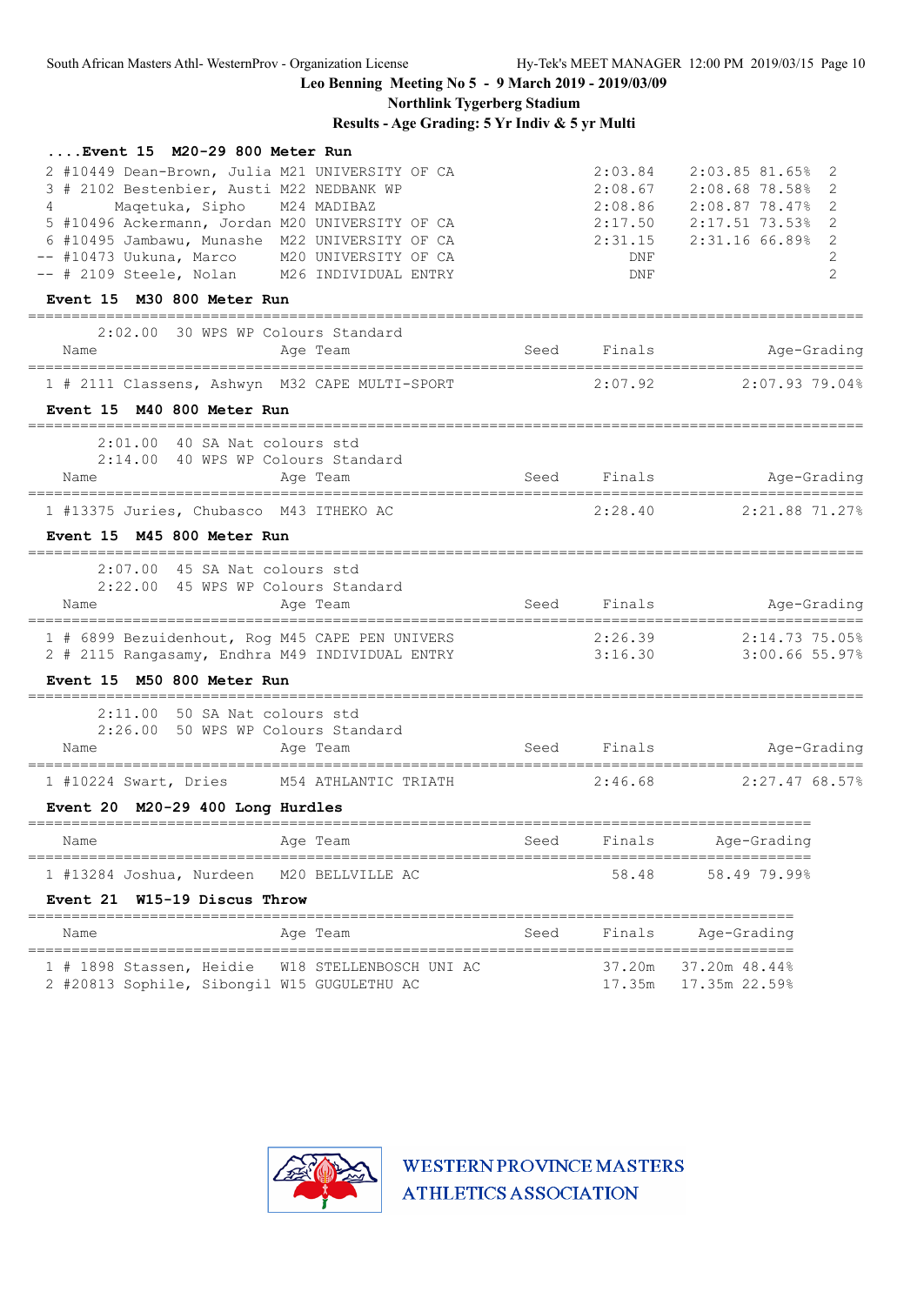## **Northlink Tygerberg Stadium**

**Results - Age Grading: 5 Yr Indiv & 5 yr Multi**

| Event 15 M20-29 800 Meter Run                                                                                                                                                                                                                  |                                                                   |      |                                          |                                                                                                                           |  |
|------------------------------------------------------------------------------------------------------------------------------------------------------------------------------------------------------------------------------------------------|-------------------------------------------------------------------|------|------------------------------------------|---------------------------------------------------------------------------------------------------------------------------|--|
| 2 #10449 Dean-Brown, Julia M21 UNIVERSITY OF CA<br>3 # 2102 Bestenbier, Austi M22 NEDBANK WP<br>Maqetuka, Sipho M24 MADIBAZ<br>$4\degree$<br>5 #10496 Ackermann, Jordan M20 UNIVERSITY OF CA<br>6 #10495 Jambawu, Munashe M22 UNIVERSITY OF CA |                                                                   |      | 2:03.84<br>2:08.67<br>2:08.86<br>2:31.15 | 2:03.85 81.65%<br>2<br>2:08.68 78.58%<br>2<br>2<br>2:08.87 78.47%<br>2:17.50 2:17.51 73.53%<br>2<br>$2:31.16$ 66.89%<br>2 |  |
| -- #10473 Uukuna, Marco M20 UNIVERSITY OF CA<br>-- # 2109 Steele, Nolan M26 INDIVIDUAL ENTRY                                                                                                                                                   |                                                                   |      | DNF<br>DNF                               | 2<br>$\overline{2}$                                                                                                       |  |
| Event 15 M30 800 Meter Run                                                                                                                                                                                                                     |                                                                   |      |                                          |                                                                                                                           |  |
| 2:02.00 30 WPS WP Colours Standard                                                                                                                                                                                                             |                                                                   |      |                                          |                                                                                                                           |  |
| Name                                                                                                                                                                                                                                           | Age Team                                                          |      | Seed Finals                              | Age-Grading                                                                                                               |  |
|                                                                                                                                                                                                                                                | 1 # 2111 Classens, Ashwyn M32 CAPE MULTI-SPORT                    |      |                                          | $2:07.92$ $2:07.93$ $79.048$                                                                                              |  |
| Event 15 M40 800 Meter Run<br>-------------------------------------                                                                                                                                                                            |                                                                   |      |                                          |                                                                                                                           |  |
| 2:01.00 40 SA Nat colours std                                                                                                                                                                                                                  |                                                                   |      |                                          |                                                                                                                           |  |
| 2:14.00 40 WPS WP Colours Standard<br>Name                                                                                                                                                                                                     | Age Team                                                          |      | Seed Finals                              | Age-Grading                                                                                                               |  |
| 1 #13375 Juries, Chubasco M43 ITHEKO AC                                                                                                                                                                                                        |                                                                   |      | 2:28.40                                  | 2:21.88 71.27%                                                                                                            |  |
| Event 15 M45 800 Meter Run                                                                                                                                                                                                                     |                                                                   |      |                                          |                                                                                                                           |  |
| $2:07.00$ 45 SA Nat colours std                                                                                                                                                                                                                |                                                                   |      |                                          |                                                                                                                           |  |
| 2:22.00 45 WPS WP Colours Standard<br>Name                                                                                                                                                                                                     | Age Team                                                          |      | Seed Finals                              | Age-Grading                                                                                                               |  |
|                                                                                                                                                                                                                                                | 1 # 6899 Bezuidenhout, Rog M45 CAPE PEN UNIVERS                   |      | 2:26.39                                  | 2:14.73 75.05%                                                                                                            |  |
|                                                                                                                                                                                                                                                | 2 # 2115 Rangasamy, Endhra M49 INDIVIDUAL ENTRY                   |      |                                          | 3:16.30 3:00.66 55.97%                                                                                                    |  |
| Event 15 M50 800 Meter Run                                                                                                                                                                                                                     |                                                                   |      |                                          |                                                                                                                           |  |
| 2:11.00 50 SA Nat colours std                                                                                                                                                                                                                  |                                                                   |      |                                          |                                                                                                                           |  |
| 2:26.00 50 WPS WP Colours Standard<br>Name                                                                                                                                                                                                     | Age Team                                                          |      | Seed Finals                              | Age-Grading                                                                                                               |  |
|                                                                                                                                                                                                                                                | 1 #10224 Swart, Dries M54 ATHLANTIC TRIATH 2:46.68 2:27.47 68.57% |      |                                          |                                                                                                                           |  |
| Event 20 M20-29 400 Long Hurdles                                                                                                                                                                                                               |                                                                   |      |                                          |                                                                                                                           |  |
| Name                                                                                                                                                                                                                                           |                                                                   |      |                                          |                                                                                                                           |  |
| 1 #13284 Joshua, Nurdeen                                                                                                                                                                                                                       | M20 BELLVILLE AC                                                  |      | 58.48                                    | 58.49 79.99%                                                                                                              |  |
| Event 21 W15-19 Discus Throw                                                                                                                                                                                                                   |                                                                   |      |                                          |                                                                                                                           |  |
| Name                                                                                                                                                                                                                                           | Age Team                                                          | Seed | Finals                                   | Age-Grading                                                                                                               |  |
| 2 #20813 Sophile, Sibongil W15 GUGULETHU AC                                                                                                                                                                                                    | 1 # 1898 Stassen, Heidie W18 STELLENBOSCH UNI AC                  |      | 37.20m                                   | 37.20m 48.44%<br>17.35m   17.35m   22.59%                                                                                 |  |
|                                                                                                                                                                                                                                                |                                                                   |      |                                          |                                                                                                                           |  |

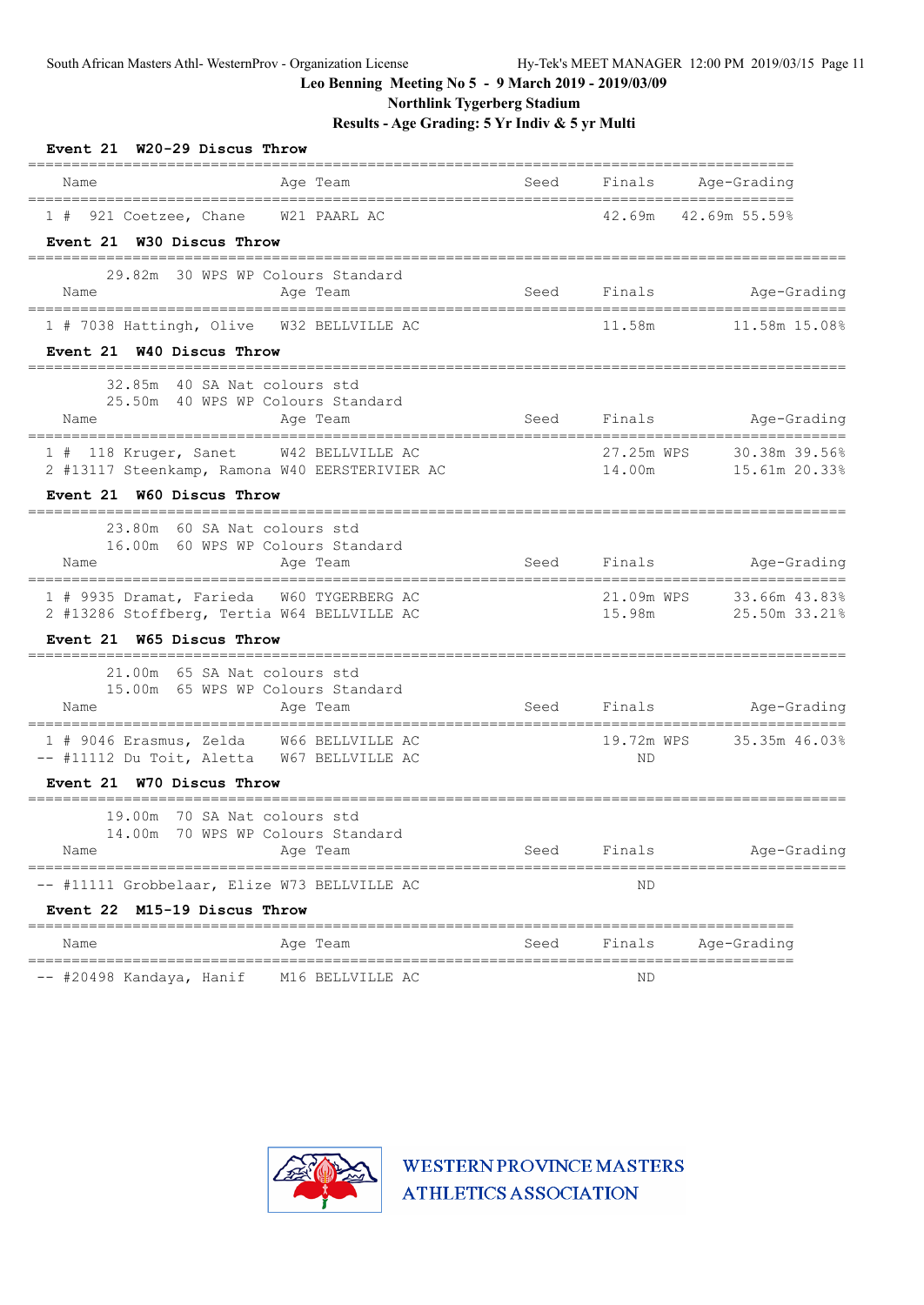**Northlink Tygerberg Stadium**

**Results - Age Grading: 5 Yr Indiv & 5 yr Multi**

| Event 21 W20-29 Discus Throw                                                                                        |                                                                                                               |                      |                                |
|---------------------------------------------------------------------------------------------------------------------|---------------------------------------------------------------------------------------------------------------|----------------------|--------------------------------|
| Age Team<br>Name                                                                                                    | Seed                                                                                                          | Finals               | Age-Grading                    |
| 921 Coetzee, Chane W21 PAARL AC<br>1#<br>Event 21 W30 Discus Throw                                                  |                                                                                                               |                      | 42.69m 42.69m 55.59%           |
| 29.82m 30 WPS WP Colours Standard<br>Name<br>Age Team                                                               | seed and the Seed and the Seed and the Seed and the Seed and the Second Second Second Second Second Second Se | Finals               | Age-Grading                    |
| 1 # 7038 Hattingh, Olive  W32 BELLVILLE AC<br>Event 21 W40 Discus Throw<br>______________________________________   |                                                                                                               | 11.58m               | 11.58m 15.08%                  |
| 32.85m 40 SA Nat colours std<br>25.50m 40 WPS WP Colours Standard<br>Aqe Team<br>Name                               | Seed Finals                                                                                                   |                      | Age-Grading                    |
| 118 Kruger, Sanet W42 BELLVILLE AC<br>2 #13117 Steenkamp, Ramona W40 EERSTERIVIER AC<br>Event 21 W60 Discus Throw   |                                                                                                               | 27.25m WPS<br>14.00m | 30.38m 39.56%<br>15.61m 20.33% |
| --------------------------<br>23.80m 60 SA Nat colours std<br>16.00m 60 WPS WP Colours Standard<br>Name<br>Age Team |                                                                                                               |                      | Seed Finals Mge-Grading        |
| 1 # 9935 Dramat, Farieda W60 TYGERBERG AC<br>2 #13286 Stoffberg, Tertia W64 BELLVILLE AC                            |                                                                                                               | 21.09m WPS<br>15.98m | 33.66m 43.83%<br>25.50m 33.21% |
| Event 21 W65 Discus Throw<br>-------------------------------------                                                  |                                                                                                               |                      |                                |
| 21.00m 65 SA Nat colours std<br>15.00m 65 WPS WP Colours Standard<br>Name<br>Age Team                               | Seed                                                                                                          |                      | Finals Age-Grading             |
| 1 # 9046 Erasmus, Zelda W66 BELLVILLE AC<br>-- #11112 Du Toit, Aletta W67 BELLVILLE AC                              |                                                                                                               | 19.72m WPS<br>ND     | 35.35m 46.03%                  |
| Event 21 W70 Discus Throw                                                                                           |                                                                                                               |                      |                                |
| 70 SA Nat colours std<br>19.00m<br>70 WPS WP Colours Standard<br>14.00m<br>Age Team<br>Name                         | Seed                                                                                                          | Finals               | Age-Grading                    |
| -- #11111 Grobbelaar, Elize W73 BELLVILLE AC                                                                        |                                                                                                               | ΝD                   | =====================          |
| Event 22 M15-19 Discus Throw                                                                                        | =============                                                                                                 |                      |                                |
| Name<br>Age Team                                                                                                    | Seed                                                                                                          | Finals               | Age-Grading                    |
| -- #20498 Kandaya, Hanif<br>M16 BELLVILLE AC                                                                        |                                                                                                               | ΝD                   |                                |

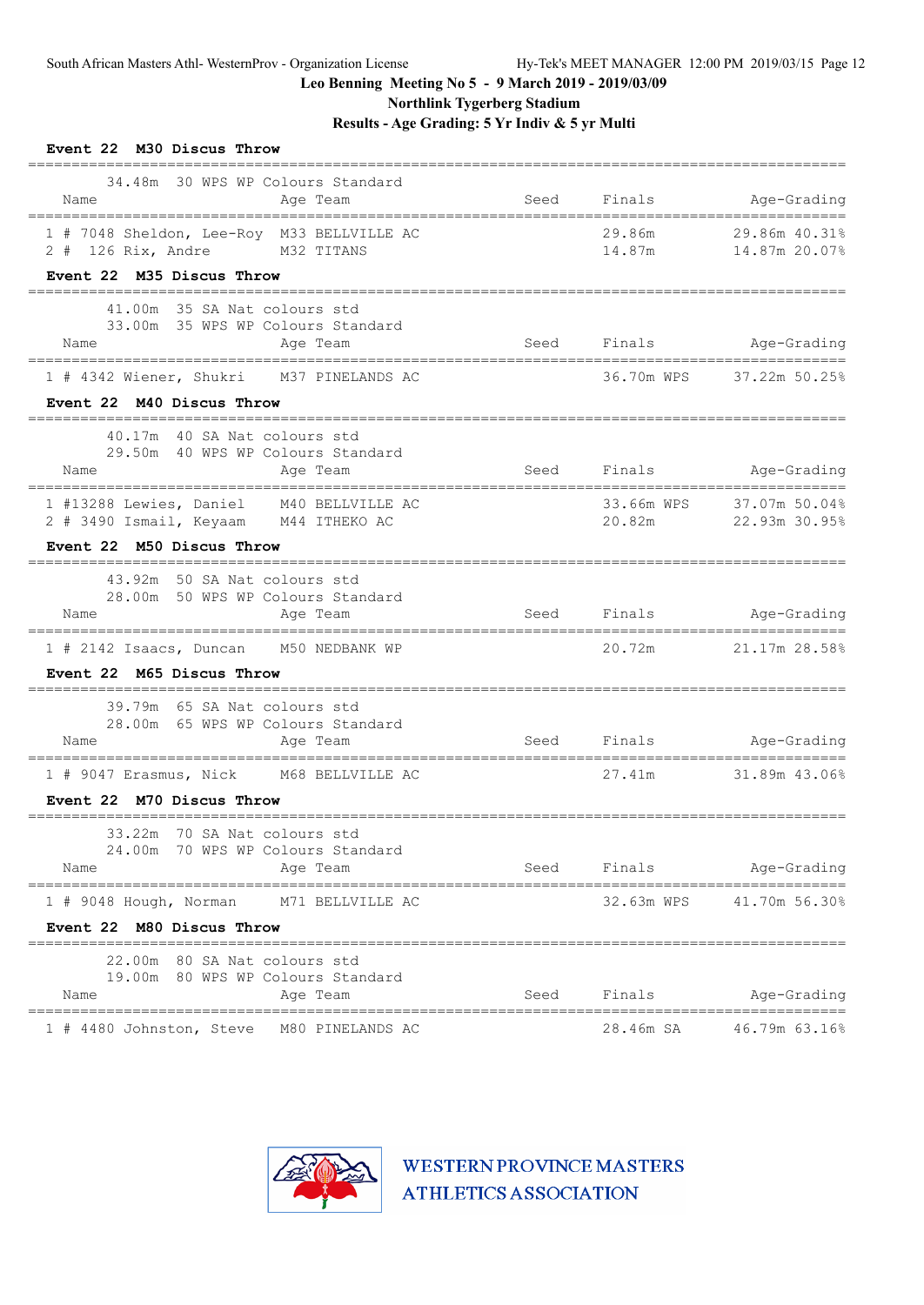**Northlink Tygerberg Stadium**

**Results - Age Grading: 5 Yr Indiv & 5 yr Multi**

| Event 22 M30 Discus Throw                                                                                   |                              |                      |                                                |
|-------------------------------------------------------------------------------------------------------------|------------------------------|----------------------|------------------------------------------------|
| 34.48m 30 WPS WP Colours Standard<br>Name<br>Age Team                                                       | Seed                         | Finals               | Age-Grading<br>_______________________________ |
| 1 # 7048 Sheldon, Lee-Roy M33 BELLVILLE AC<br>2 # 126 Rix, Andre M32 TITANS                                 |                              | 29.86m<br>14.87m     | 29.86m 40.31%<br>14.87m 20.07%                 |
| Event 22 M35 Discus Throw                                                                                   |                              |                      |                                                |
| 41.00m 35 SA Nat colours std<br>33.00m 35 WPS WP Colours Standard<br>Age Team<br>Name                       | Seed                         | Finals               | Age-Grading                                    |
| 1 # 4342 Wiener, Shukri M37 PINELANDS AC                                                                    |                              | 36.70m WPS           | 37.22m 50.25%                                  |
| Event 22 M40 Discus Throw                                                                                   |                              |                      |                                                |
| --------------------------------------<br>40.17m 40 SA Nat colours std<br>29.50m 40 WPS WP Colours Standard |                              |                      |                                                |
| Name<br>Age Team                                                                                            |                              | Seed Finals          | Age-Grading                                    |
| 1 #13288 Lewies, Daniel M40 BELLVILLE AC<br>2 # 3490 Ismail, Keyaam M44 ITHEKO AC                           |                              | 33.66m WPS<br>20.82m | 37.07m 50.04%<br>22.93m 30.95%                 |
| Event 22 M50 Discus Throw                                                                                   |                              |                      |                                                |
| 43.92m 50 SA Nat colours std<br>28.00m 50 WPS WP Colours Standard<br>Name<br>Age Team                       |                              |                      | Seed Finals Age-Grading                        |
| --------------------------------<br>1 # 2142 Isaacs, Duncan M50 NEDBANK WP                                  | ---------------------------- | 20.72m               | 21.17m 28.58%                                  |
| Event 22 M65 Discus Throw                                                                                   |                              |                      |                                                |
| 39.79m 65 SA Nat colours std<br>28.00m 65 WPS WP Colours Standard<br>Name<br>Age Team                       | Seed                         |                      | Finals Age-Grading                             |
| 1 # 9047 Erasmus, Nick M68 BELLVILLE AC                                                                     |                              | 27.41m               | 31.89m 43.06%                                  |
| Event 22 M70 Discus Throw                                                                                   |                              |                      |                                                |
| 33.22m 70 SA Nat colours std<br>24.00m 70 WPS WP Colours Standard<br>Age Team<br>Name                       | Seed                         | Finals               | Age-Grading                                    |
| ================================<br>--------------------------------                                        |                              |                      |                                                |
| 1 # 9048 Hough, Norman M71 BELLVILLE AC<br>Event 22 M80 Discus Throw                                        |                              |                      | 32.63m WPS 41.70m 56.30%                       |
| 22.00m 80 SA Nat colours std<br>19.00m 80 WPS WP Colours Standard                                           |                              |                      |                                                |
| Name<br>Age Team<br>====================                                                                    | Seed                         | Finals               | Age-Grading<br>=====================           |
| 1 # 4480 Johnston, Steve M80 PINELANDS AC                                                                   |                              | 28.46m SA            | 46.79m 63.16%                                  |

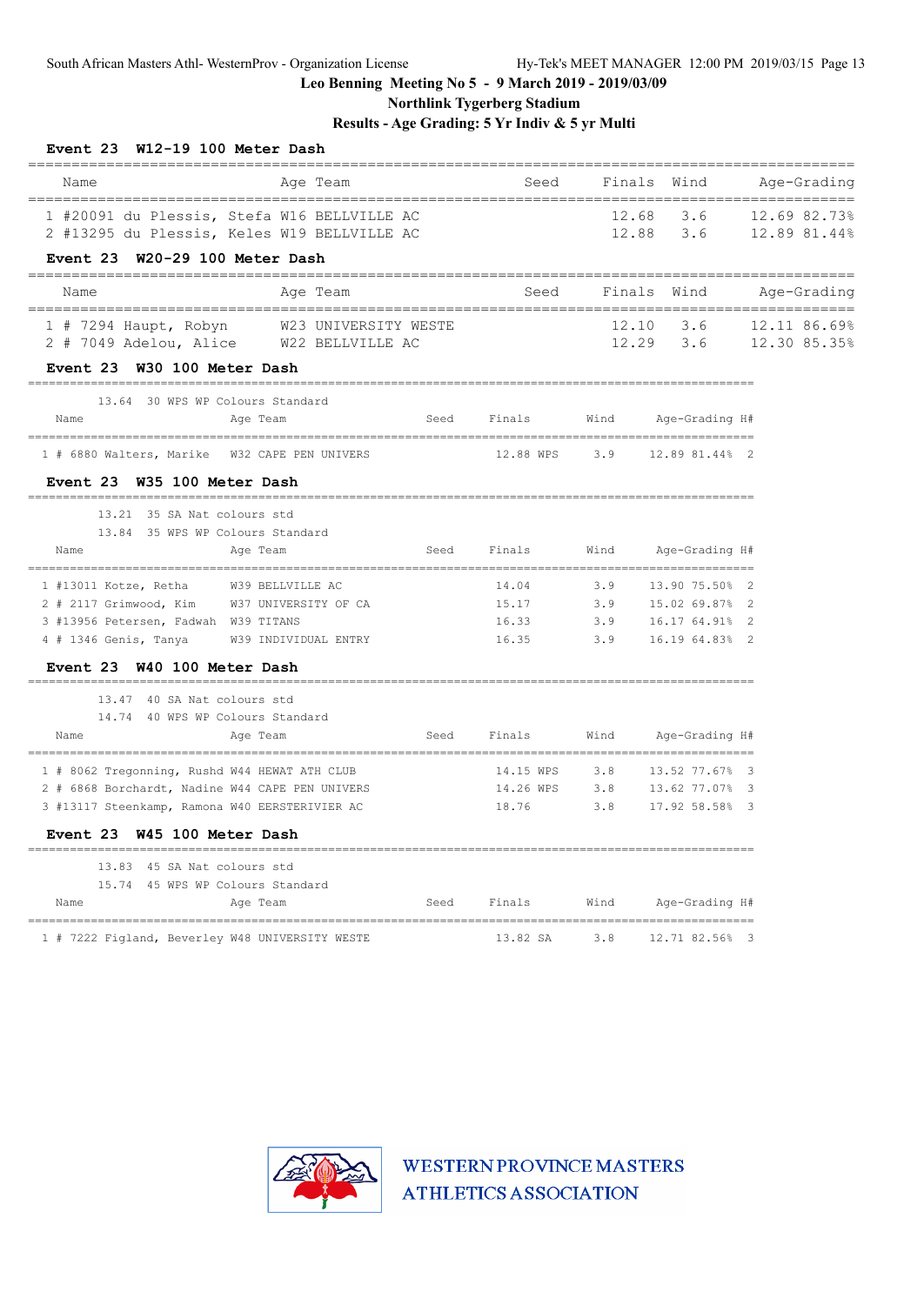**Northlink Tygerberg Stadium**

**Results - Age Grading: 5 Yr Indiv & 5 yr Multi**

| Event 23                                                                                   | W12-19 100 Meter Dash |      |                                 |      |                              |                          |                              |
|--------------------------------------------------------------------------------------------|-----------------------|------|---------------------------------|------|------------------------------|--------------------------|------------------------------|
| Name                                                                                       | Age Team              |      | Seed                            |      | Finals<br>Wind               |                          | Age-Grading                  |
| 1 #20091 du Plessis, Stefa W16 BELLVILLE AC<br>2 #13295 du Plessis, Keles W19 BELLVILLE AC |                       |      |                                 |      | 12.68<br>3.6<br>12.88 3.6    |                          | 12.69 82.73%<br>12.89 81.44% |
| Event 23 W20-29 100 Meter Dash                                                             |                       |      |                                 |      |                              |                          |                              |
| Name                                                                                       | Age Team              |      | Seed                            |      | Finals Wind                  |                          | Age-Grading                  |
| 1 # 7294 Haupt, Robyn W23 UNIVERSITY WESTE<br>2 # 7049 Adelou, Alice W22 BELLVILLE AC      |                       |      |                                 |      | 12.10<br>3.6                 |                          | 12.11 86.69%                 |
|                                                                                            |                       |      |                                 |      | $12.29$ $3.6$                | $\frac{1}{12.30}$ 85.35% |                              |
| Event 23 W30 100 Meter Dash                                                                |                       |      |                                 |      |                              |                          |                              |
| 13.64 30 WPS WP Colours Standard                                                           |                       |      |                                 |      |                              |                          |                              |
| Name                                                                                       | Age Team              | Seed | Finals                          | Wind | Age-Grading H#               |                          |                              |
| 1 # 6880 Walters, Marike W32 CAPE PEN UNIVERS                                              |                       |      |                                 |      | 12.88 WPS 3.9 12.89 81.44% 2 |                          |                              |
| Event 23 W35 100 Meter Dash                                                                |                       |      |                                 |      |                              |                          |                              |
| 13.21 35 SA Nat colours std                                                                |                       |      |                                 |      |                              |                          |                              |
| 13.84 35 WPS WP Colours Standard                                                           |                       |      |                                 |      |                              |                          |                              |
| Name                                                                                       | Age Team              |      | Seed Finals                     | Wind | Age-Grading H#               |                          |                              |
| 1 #13011 Kotze, Retha W39 BELLVILLE AC                                                     |                       |      | 14.04                           | 3.9  | 13.90 75.50% 2               |                          |                              |
| 2 # 2117 Grimwood, Kim W37 UNIVERSITY OF CA                                                |                       |      | 15.17                           | 3.9  | 15.02 69.87% 2               |                          |                              |
| 3 #13956 Petersen, Fadwah W39 TITANS                                                       |                       |      | 16.33                           | 3.9  | 16.17 64.91% 2               |                          |                              |
| 4 # 1346 Genis, Tanya                                                                      | W39 INDIVIDUAL ENTRY  |      | 16.35 3.9                       |      | 16.19 64.83% 2               |                          |                              |
| Event 23 W40 100 Meter Dash                                                                |                       |      |                                 |      |                              |                          |                              |
| 13.47 40 SA Nat colours std                                                                |                       |      |                                 |      |                              |                          |                              |
| 14.74 40 WPS WP Colours Standard<br>Name                                                   | Age Team              |      | Seed Finals                     |      | Wind Age-Grading H#          |                          |                              |
|                                                                                            |                       |      |                                 |      |                              |                          |                              |
| 1 # 8062 Tregonning, Rushd W44 HEWAT ATH CLUB                                              |                       |      | 14.15 WPS                       | 3.8  | 13.52 77.67% 3               |                          |                              |
| 2 # 6868 Borchardt, Nadine W44 CAPE PEN UNIVERS                                            |                       |      |                                 |      | 14.26 WPS 3.8 13.62 77.07% 3 |                          |                              |
| 3 #13117 Steenkamp, Ramona W40 EERSTERIVIER AC                                             |                       |      | 18.76 3.8                       |      | 17.92 58.58% 3               |                          |                              |
| Event 23 W45 100 Meter Dash                                                                |                       |      |                                 |      |                              |                          |                              |
| 13.83 45 SA Nat colours std                                                                |                       |      |                                 |      |                              |                          |                              |
| 15.74 45 WPS WP Colours Standard                                                           |                       |      |                                 |      |                              |                          |                              |
| Name<br>---------------------------------                                                  | Age Team              |      | Seed Finals Wind Age-Grading H# |      |                              |                          |                              |
| 1 # 7222 Figland, Beverley W48 UNIVERSITY WESTE                                            |                       |      | 13.82 SA                        | 3.8  | 12.71 82.56% 3               |                          |                              |

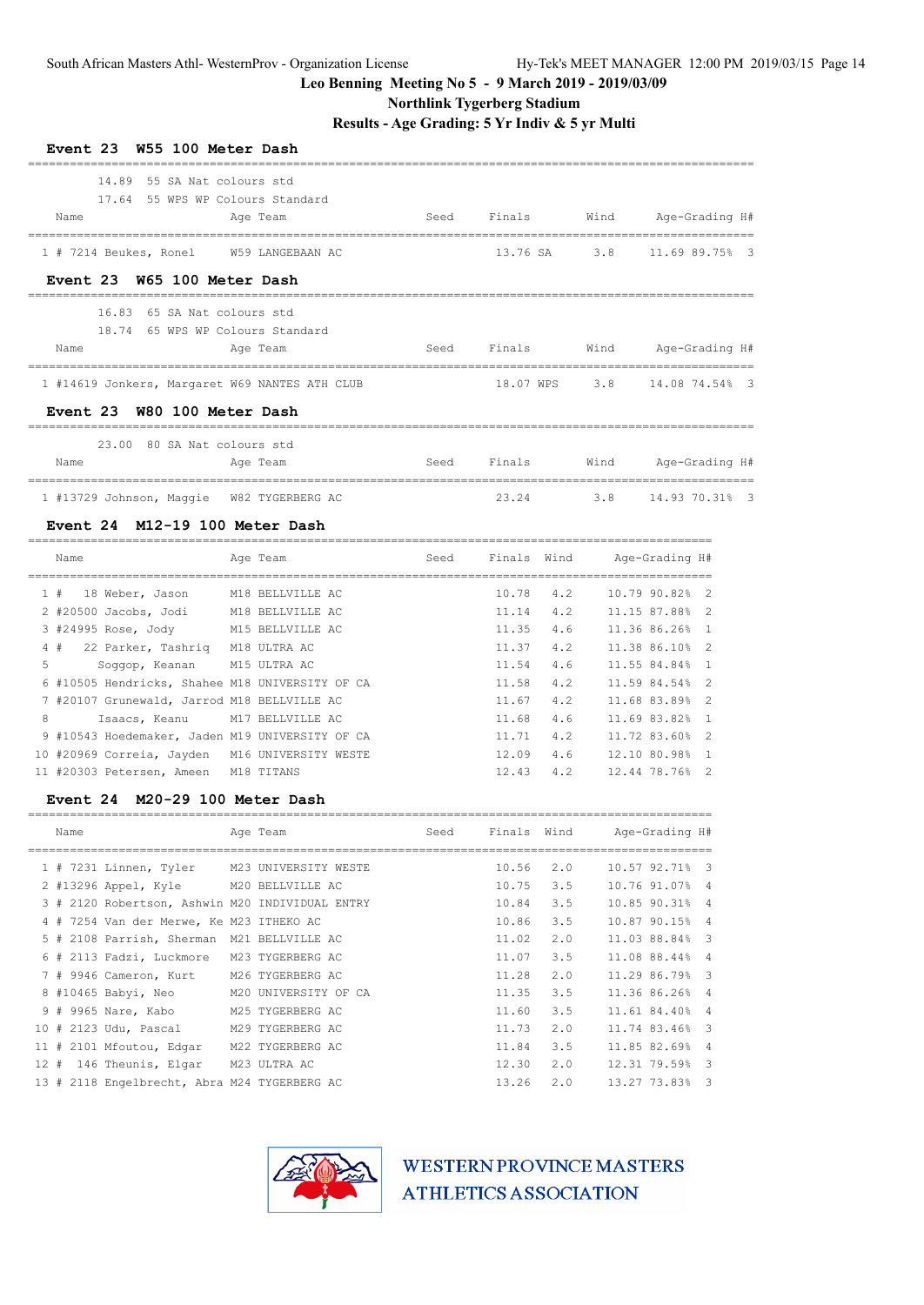### **Northlink Tygerberg Stadium**

**Results - Age Grading: 5 Yr Indiv & 5 yr Multi**

==================================================================================================

| Event 23 W55 100 Meter Dash                    |      |                  |             |                    |
|------------------------------------------------|------|------------------|-------------|--------------------|
| 14.89 55 SA Nat colours std                    |      |                  |             |                    |
| 17.64 55 WPS WP Colours Standard               |      |                  |             |                    |
| Name<br>Age Team                               |      | Seed Finals Wind |             | Age-Grading H#     |
| 1 # 7214 Beukes, Ronel W59 LANGEBAAN AC        |      | 13.76 SA         |             | 3.8 11.69 89.75% 3 |
| Event 23 W65 100 Meter Dash                    |      |                  |             |                    |
| 65 SA Nat colours std<br>16.83                 |      |                  |             |                    |
| 18.74 65 WPS WP Colours Standard               |      |                  |             |                    |
| Name<br>Age Team                               | Seed | Finals           | <b>Wind</b> | Age-Grading H#     |
| 1 #14619 Jonkers, Margaret W69 NANTES ATH CLUB |      | 18.07 WPS        |             | 3.8 14.08 74.54% 3 |
| Event 23 W80 100 Meter Dash                    |      |                  |             |                    |
| 23.00 80 SA Nat. colours std                   |      |                  |             |                    |
| Name<br>Age Team                               | Seed | Finals           | Wind        | Age-Grading H#     |
| 1 #13729 Johnson, Maggie W82 TYGERBERG AC      |      | 23.24            |             | 3.8 14.93 70.31% 3 |

#### **Event 24 M12-19 100 Meter Dash**

|               | Name                                            | Age Team         | Seed | Finals Wind |     | Age-Grading H# |
|---------------|-------------------------------------------------|------------------|------|-------------|-----|----------------|
|               | 1#<br>18 Weber, Jason                           | M18 BELLVILLE AC |      | 10.78       | 4.2 | 10.79 90.82% 2 |
|               | 2 #20500 Jacobs, Jodi M18 BELLVILLE AC          |                  |      | 11.14       | 4.2 | 11.15 87.88% 2 |
|               | 3 #24995 Rose, Jody M15 BELLVILLE AC            |                  |      | 11.35       | 4.6 | 11.36 86.26% 1 |
|               | 4 # 22 Parker, Tashriq                          | M18 ULTRA AC     |      | 11.37       | 4.2 | 11.38 86.10% 2 |
| 5             | Soggop, Keanan M15 ULTRA AC                     |                  |      | 11.54       | 4.6 | 11.55 84.84% 1 |
|               | 6 #10505 Hendricks, Shahee M18 UNIVERSITY OF CA |                  |      | 11.58       | 4.2 | 11.59 84.54% 2 |
|               | 7 #20107 Grunewald, Jarrod M18 BELLVILLE AC     |                  |      | 11.67       | 4.2 | 11.68 83.89% 2 |
| $\mathcal{R}$ | Isaacs, Keanu M17 BELLVILLE AC                  |                  |      | 11.68       | 4.6 | 11.69 83.82% 1 |
|               | 9 #10543 Hoedemaker, Jaden M19 UNIVERSITY OF CA |                  |      | 11.71       | 4.2 | 11.72 83.60% 2 |
|               | 10 #20969 Correia, Jayden M16 UNIVERSITY WESTE  |                  |      | 12.09       | 4.6 | 12.10 80.98% 1 |
|               | 11 #20303 Petersen, Ameen M18 TITANS            |                  |      | 12.43       | 4.2 | 12.44 78.76% 2 |

#### **Event 24 M20-29 100 Meter Dash**

| Name                                            | Age Team             | Seed | Finals Wind |     | Age-Grading H# |  |
|-------------------------------------------------|----------------------|------|-------------|-----|----------------|--|
| $1$ # 7231 Linnen, Tyler                        | M23 UNIVERSITY WESTE |      | 10.56       | 2.0 | 10.57 92.71% 3 |  |
| 2 #13296 Appel, Kyle M20 BELLVILLE AC           |                      |      | 10.75       | 3.5 | 10.76 91.07% 4 |  |
| 3 # 2120 Robertson, Ashwin M20 INDIVIDUAL ENTRY |                      |      | 10.84       | 3.5 | 10.85 90.31% 4 |  |
| 4 # 7254 Van der Merwe, Ke M23 ITHEKO AC        |                      |      | 10.86       | 3.5 | 10.87 90.15% 4 |  |
| 5 # 2108 Parrish, Sherman                       | M21 BELLVILLE AC     |      | 11.02       | 2.0 | 11.03 88.84% 3 |  |
| 6 # 2113 Fadzi, Luckmore M23 TYGERBERG AC       |                      |      | 11.07       | 3.5 | 11.08 88.44% 4 |  |
| 7 # 9946 Cameron, Kurt M26 TYGERBERG AC         |                      |      | 11.28       | 2.0 | 11.29 86.79% 3 |  |
| 8 #10465 Babyi, Neo M20 UNIVERSITY OF CA        |                      |      | 11.35       | 3.5 | 11.36 86.26% 4 |  |
| 9 # 9965 Nare, Kabo                             | M25 TYGERBERG AC     |      | 11.60       | 3.5 | 11.61 84.40% 4 |  |
| 10 # 2123 Udu, Pascal                           | M29 TYGERBERG AC     |      | 11.73       | 2.0 | 11.74 83.46% 3 |  |
| 11 # 2101 Mfoutou, Edgar                        | M22 TYGERBERG AC     |      | 11.84       | 3.5 | 11.85 82.69% 4 |  |
| 12 # 146 Theunis, Elgar                         | M23 ULTRA AC         |      | 12.30       | 2.0 | 12.31 79.59% 3 |  |
| 13 # 2118 Engelbrecht, Abra M24 TYGERBERG AC    |                      |      | 13.26       | 2.0 | 13.27 73.83% 3 |  |

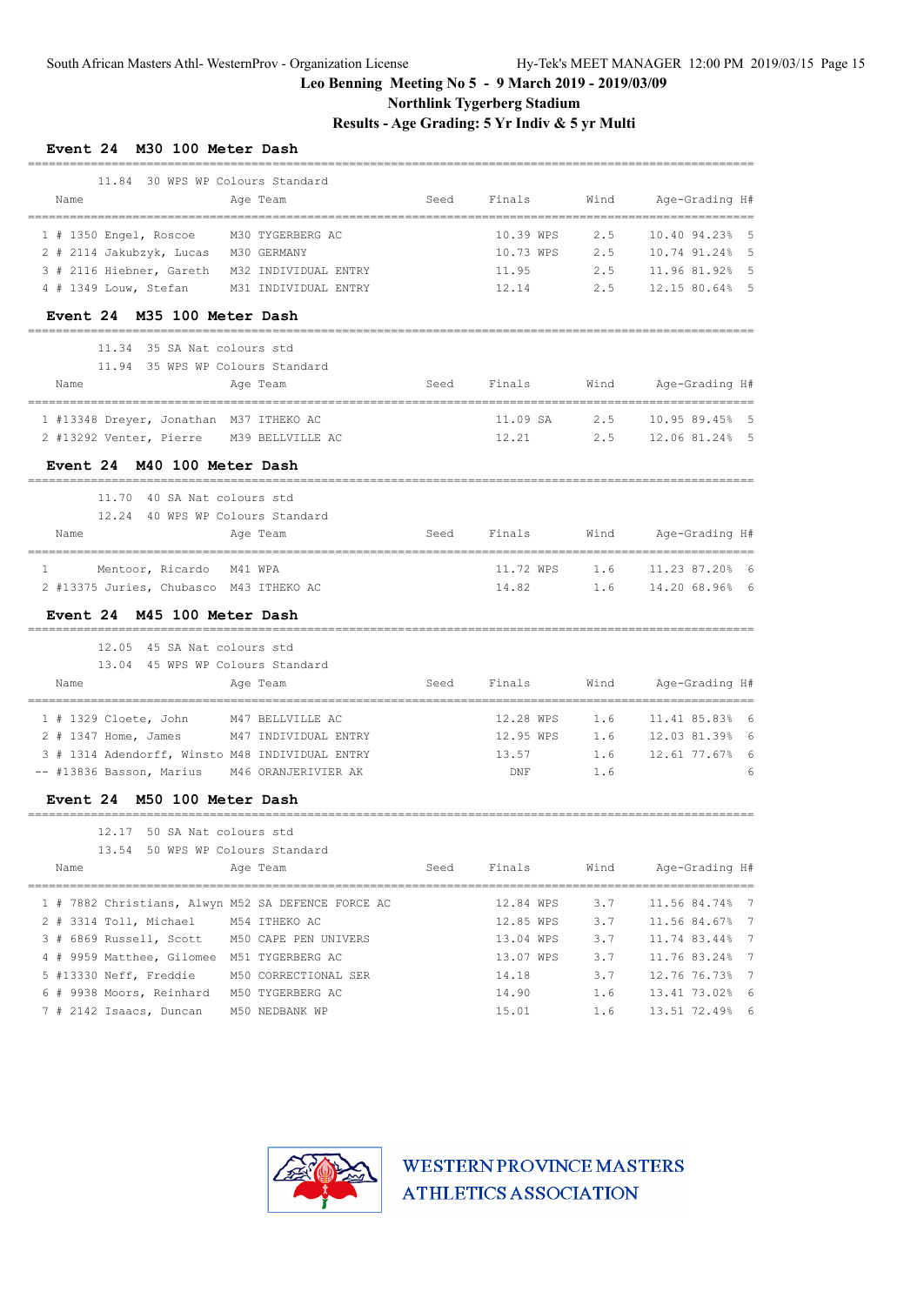## **Northlink Tygerberg Stadium**

**Results - Age Grading: 5 Yr Indiv & 5 yr Multi**

| Event 24 M30 100 Meter Dash                                        |      |           |      |                                 |
|--------------------------------------------------------------------|------|-----------|------|---------------------------------|
| 11.84 30 WPS WP Colours Standard                                   |      |           |      |                                 |
| Name<br>Age Team                                                   | Seed | Finals    | Wind | Age-Grading H#                  |
| 1 # 1350 Engel, Roscoe<br>M30 TYGERBERG AC                         |      | 10.39 WPS | 2.5  | 10.40 94.23%<br>- 5             |
| 2 # 2114 Jakubzyk, Lucas<br>M30 GERMANY                            |      | 10.73 WPS | 2.5  | 10.74 91.24%<br>- 5             |
| 3 # 2116 Hiebner, Gareth<br>M32 INDIVIDUAL ENTRY                   |      | 11.95     | 2.5  | 11.96 81.92%<br>- 5             |
| 4 # 1349 Louw, Stefan<br>M31 INDIVIDUAL ENTRY                      |      | 12.14     | 2.5  | 12.15 80.64% 5                  |
| Event 24 M35 100 Meter Dash                                        |      |           |      |                                 |
| 11.34<br>35 SA Nat colours std<br>11.94 35 WPS WP Colours Standard |      |           |      |                                 |
| Name<br>Age Team                                                   | Seed | Finals    | Wind | Age-Grading H#                  |
|                                                                    |      |           |      | =============================== |
| 1 #13348 Dreyer, Jonathan M37 ITHEKO AC                            |      | 11.09 SA  | 2.5  | 10.95 89.45% 5                  |
| 2 #13292 Venter, Pierre M39 BELLVILLE AC                           |      | 12.21     | 2.5  | 12.06 81.24% 5                  |
| Event 24 M40 100 Meter Dash                                        |      |           |      |                                 |
| 11.70<br>40 SA Nat colours std                                     |      |           |      |                                 |
| 12.24 40 WPS WP Colours Standard                                   |      |           |      |                                 |
| Name<br>Age Team                                                   | Seed | Finals    | Wind | Age-Grading H#                  |
| Mentoor, Ricardo M41 WPA<br>1                                      |      | 11.72 WPS | 1.6  | 11.23 87.20% 6                  |
| 2 #13375 Juries, Chubasco M43 ITHEKO AC                            |      | 14.82     | 1.6  | 14.20 68.96% 6                  |
| Event 24 M45 100 Meter Dash                                        |      |           |      | ============================    |
| 12.05 45 SA Nat colours std                                        |      |           |      |                                 |
| 13.04 45 WPS WP Colours Standard                                   |      |           |      |                                 |
| Name<br>Age Team                                                   | Seed | Finals    | Wind | Age-Grading H#                  |
| $1$ # 1329 Cloete, John<br>M47 BELLVILLE AC                        |      | 12.28 WPS | 1.6  | 11.41 85.83%<br>- 6             |
| 2 # 1347 Home, James<br>M47 INDIVIDUAL ENTRY                       |      | 12.95 WPS | 1.6  | 12.03 81.39%<br>- 6             |
| 3 # 1314 Adendorff, Winsto M48 INDIVIDUAL ENTRY                    |      | 13.57     | 1.6  | 12.61 77.67%<br>- 6             |
| -- #13836 Basson, Marius M46 ORANJERIVIER AK                       |      | DNF       | 1.6  |                                 |
| Event 24 M50 100 Meter Dash                                        |      |           |      |                                 |
| 50 SA Nat colours std<br>12.17                                     |      |           |      |                                 |
| 13.54 50 WPS WP Colours Standard                                   |      |           |      |                                 |
| Name<br>Age Team                                                   | Seed | Finals    | Wind | Age-Grading H#                  |
| 1 # 7882 Christians, Alwyn M52 SA DEFENCE FORCE AC                 |      | 12.84 WPS | 3.7  | 11.56 84.74% 7                  |
| 2 # 3314 Toll, Michael<br>M54 ITHEKO AC                            |      | 12.85 WPS | 3.7  | 11.56 84.67% 7                  |
| 3 # 6869 Russell, Scott M50 CAPE PEN UNIVERS                       |      | 13.04 WPS | 3.7  | 11.74 83.44% 7                  |
| 4 # 9959 Matthee, Gilomee M51 TYGERBERG AC                         |      | 13.07 WPS | 3.7  | 11.76 83.24% 7                  |
| 5 #13330 Neff, Freddie<br>M50 CORRECTIONAL SER                     |      | 14.18     | 3.7  | 12.76 76.73% 7                  |
| 6 # 9938 Moors, Reinhard M50 TYGERBERG AC                          |      | 14.90     | 1.6  | 13.41 73.02% 6                  |
| 7 # 2142 Isaacs, Duncan<br>M50 NEDBANK WP                          |      | 15.01     | 1.6  | 13.51 72.49% 6                  |

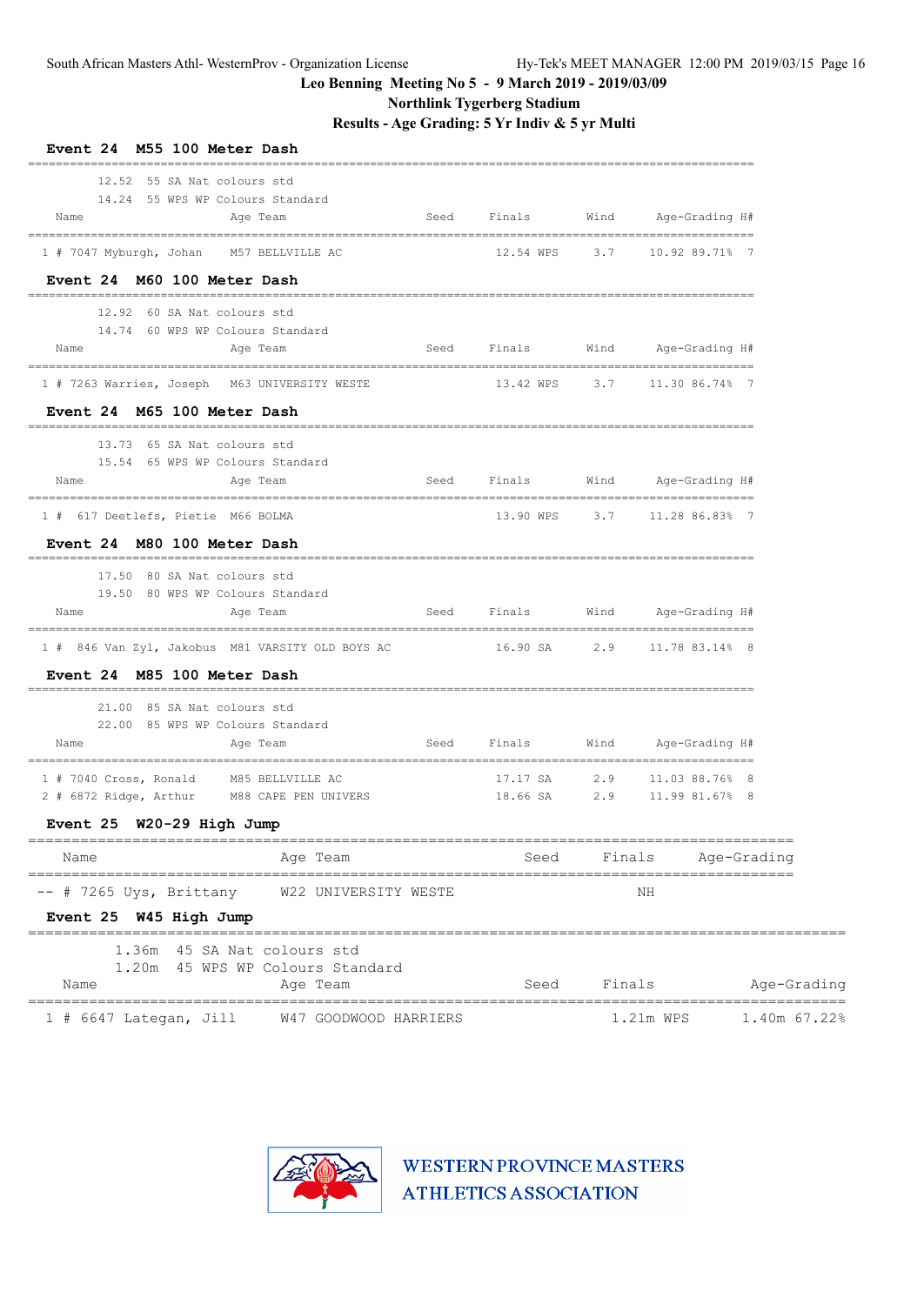**Northlink Tygerberg Stadium**

**Results - Age Grading: 5 Yr Indiv & 5 yr Multi**

| Event 24 M55 100 Meter Dash                                                                  |                          |           |                                      |              |
|----------------------------------------------------------------------------------------------|--------------------------|-----------|--------------------------------------|--------------|
| 12.52 55 SA Nat colours std<br>14.24 55 WPS WP Colours Standard<br>Seed<br>Name<br>Age Team  | Finals                   | Wind      | Age-Grading H#                       |              |
| 1 # 7047 Myburgh, Johan<br>M57 BELLVILLE AC                                                  | 12.54 WPS                |           | 3.7 10.92 89.71% 7                   |              |
| Event 24 M60 100 Meter Dash                                                                  |                          |           |                                      |              |
| 12.92 60 SA Nat. colours std<br>14.74 60 WPS WP Colours Standard<br>Name<br>Age Team         | Finals<br>Seed           |           | Wind Age-Grading H#                  |              |
| 1 # 7263 Warries, Joseph M63 UNIVERSITY WESTE                                                | 13.42 WPS                |           | 3.7 11.30 86.74% 7                   |              |
| Event 24 M65 100 Meter Dash                                                                  |                          |           |                                      |              |
| 13.73 65 SA Nat colours std<br>15.54 65 WPS WP Colours Standard                              |                          |           |                                      |              |
| Seed<br>Name<br>Age Team                                                                     | Finals                   |           | Wind Age-Grading H#                  |              |
| 1 # 617 Deetlefs, Pietie M66 BOLMA                                                           | 13.90 WPS                |           | 3.7 11.28 86.83% 7                   |              |
| Event 24 M80 100 Meter Dash                                                                  |                          |           |                                      |              |
| 17.50 80 SA Nat colours std<br>19.50 80 WPS WP Colours Standard                              |                          |           |                                      |              |
| Name<br>Seed<br>Age Team<br>___________________________________                              | Finals                   |           | Wind Age-Grading H#                  |              |
| 1 # 846 Van Zyl, Jakobus M81 VARSITY OLD BOYS AC                                             | 16.90 SA                 |           | 2.9 11.78 83.14% 8                   |              |
| Event 24 M85 100 Meter Dash                                                                  |                          |           |                                      |              |
| 21.00 85 SA Nat colours std<br>22.00 85 WPS WP Colours Standard                              |                          |           |                                      |              |
| Name<br>Seed<br>Age Team                                                                     | Finals                   | Wind      | Age-Grading H#                       |              |
| 1 # 7040 Cross, Ronald<br>M85 BELLVILLE AC<br>M88 CAPE PEN UNIVERS<br>2 # 6872 Ridge, Arthur | 17.17 SA<br>18.66 SA     | 2.9       | 11.03 88.76% 8<br>2.9 11.99 81.67% 8 |              |
| Event 25 W20-29 High Jump                                                                    |                          |           |                                      |              |
| Age Team<br>Name                                                                             | Seed                     | Finals    |                                      | Age-Grading  |
| $--$ # 7265 Uys, Brittany<br>W22 UNIVERSITY WESTE<br>Event 25 W45 High Jump                  |                          |           | NΗ                                   |              |
| 1.36m  45 SA Nat colours std<br>1.20m 45 WPS WP Colours Standard<br>Name<br>Age Team         | Seed                     | Finals    |                                      | Age-Grading  |
| 1 # 6647 Lategan, Jill<br>W47 GOODWOOD HARRIERS                                              | ________________________ | 1.21m WPS |                                      | 1.40m 67.22% |

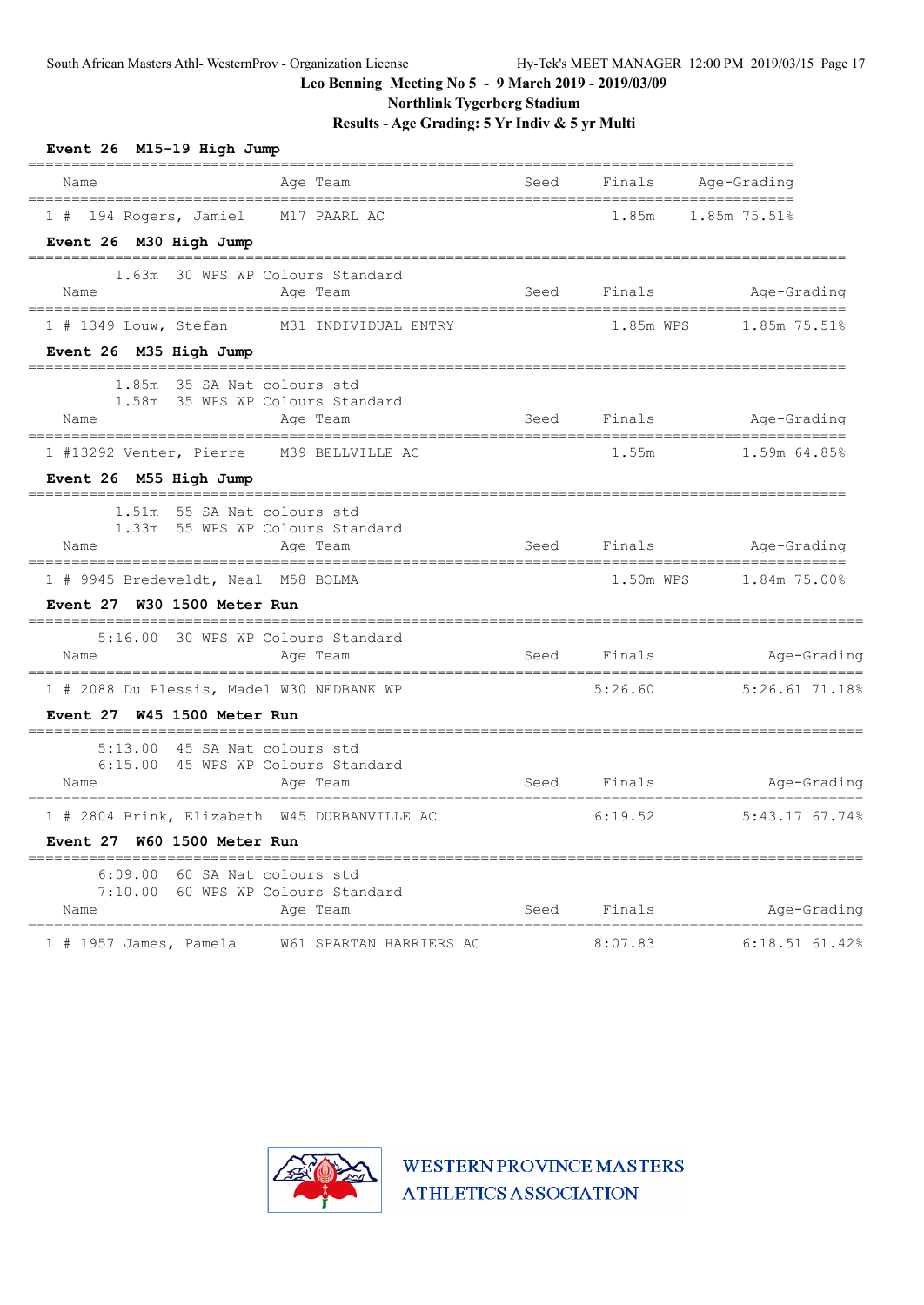**Northlink Tygerberg Stadium**

**Results - Age Grading: 5 Yr Indiv & 5 yr Multi**

| Event 26 M15-19 High Jump                                                |             |                  |                                        |
|--------------------------------------------------------------------------|-------------|------------------|----------------------------------------|
| Age Team<br>Name                                                         |             |                  | Seed Finals Age-Grading                |
| 1 # 194 Rogers, Jamiel M17 PAARL AC                                      |             |                  | 1.85m 1.85m 75.51%                     |
| Event 26 M30 High Jump<br>=====================                          |             |                  |                                        |
| 1.63m 30 WPS WP Colours Standard                                         |             |                  |                                        |
| Name<br>Aqe Team                                                         |             | Seed Finals      | Age-Grading                            |
| 1 # 1349 Louw, Stefan M31 INDIVIDUAL ENTRY                               |             |                  | 1.85m WPS 1.85m 75.51%                 |
| Event 26 M35 High Jump                                                   |             |                  |                                        |
| 1.85m 35 SA Nat colours std                                              |             |                  |                                        |
| 1.58m 35 WPS WP Colours Standard<br>Name<br>Age Team                     |             | Seed Finals      | Age-Grading                            |
| 1 #13292 Venter, Pierre M39 BELLVILLE AC                                 |             | 1.55m            | 1.59m 64.85%                           |
| Event 26 M55 High Jump                                                   |             |                  |                                        |
| 1.51m 55 SA Nat colours std                                              |             |                  |                                        |
| 1.33m 55 WPS WP Colours Standard<br>Name<br>Age Team                     |             |                  | Seed Finals Age-Grading                |
|                                                                          |             |                  |                                        |
| 1 # 9945 Bredeveldt, Neal M58 BOLMA<br>Event 27 W30 1500 Meter Run       |             |                  |                                        |
|                                                                          |             |                  |                                        |
| 5:16.00 30 WPS WP Colours Standard<br>Age Team<br>Name                   | Seed Finals |                  | Age-Grading                            |
|                                                                          |             | 5:26.60          | 5:26.61 71.18%                         |
| 1 # 2088 Du Plessis, Madel W30 NEDBANK WP<br>Event 27 W45 1500 Meter Run |             |                  |                                        |
| 5:13.00 45 SA Nat colours std                                            |             |                  |                                        |
| 6:15.00 45 WPS WP Colours Standard                                       |             |                  |                                        |
| Age Team<br>Name                                                         |             |                  | Seed Finals <b>Example Age-Grading</b> |
| 1 # 2804 Brink, Elizabeth W45 DURBANVILLE AC                             |             | 6:19.52          | 5:43.17 67.74%                         |
| Event 27 W60 1500 Meter Run                                              |             |                  |                                        |
| 6:09.00 60 SA Nat colours std                                            |             |                  |                                        |
| 7:10.00 60 WPS WP Colours Standard<br>Name<br>Age Team                   |             | Seed Finals Seed | Age-Grading                            |
| W61 SPARTAN HARRIERS AC<br>1 # 1957 James, Pamela                        |             | 8:07.83          | 6:18.51 61.42%                         |

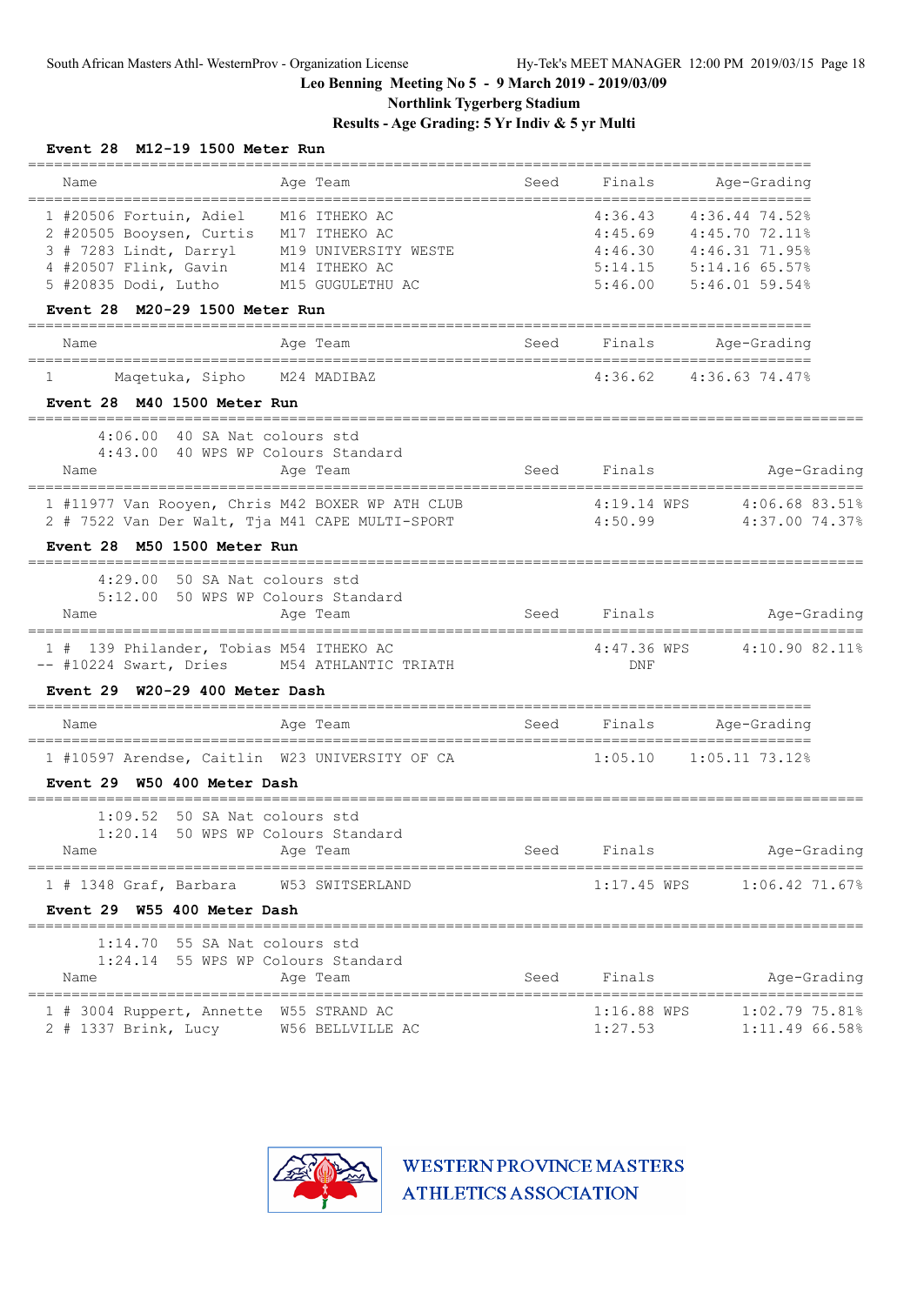**Northlink Tygerberg Stadium**

### **Results - Age Grading: 5 Yr Indiv & 5 yr Multi**

| Event 28 M12-19 1500 Meter Run                                                                                            |                                   |                        |                                                                    |
|---------------------------------------------------------------------------------------------------------------------------|-----------------------------------|------------------------|--------------------------------------------------------------------|
| Name<br>Age Team                                                                                                          | Seed                              | Finals                 | Age-Grading<br>===================                                 |
| 1 #20506 Fortuin, Adiel<br>M16 ITHEKO AC<br>2 #20505 Booysen, Curtis<br>M17 ITHEKO AC                                     |                                   | 4:36.43                | 4:36.44 74.52%<br>4:45.69 4:45.70 72.11%<br>4:46.30 4:46.31 71.95% |
| 3 # 7283 Lindt, Darryl<br>M19 UNIVERSITY WESTE                                                                            |                                   |                        |                                                                    |
| 4 #20507 Flink, Gavin<br>M14 ITHEKO AC<br>5 #20835 Dodi, Lutho<br>M15 GUGULETHU AC                                        |                                   | 5:46.00                | 5:14.15 5:14.16 65.57%<br>$5:46.01$ 59.54%                         |
| M20-29 1500 Meter Run<br>Event 28                                                                                         |                                   |                        |                                                                    |
| Age Team<br>Name                                                                                                          | Seed                              | Finals                 | Age-Grading                                                        |
| Maqetuka, Sipho<br>M24 MADIBAZ<br>1                                                                                       |                                   | 4:36.62                | 4:36.63 74.47%                                                     |
| Event 28 M40 1500 Meter Run                                                                                               |                                   |                        |                                                                    |
| 4:06.00 40 SA Nat colours std                                                                                             |                                   |                        |                                                                    |
| 4:43.00 40 WPS WP Colours Standard<br>Name<br>Age Team                                                                    | Seed                              | Finals                 | Age-Grading<br>===========================                         |
| 1 #11977 Van Rooyen, Chris M42 BOXER WP ATH CLUB                                                                          |                                   | 4:19.14 WPS            | 4:06.68 83.51%                                                     |
| 2 # 7522 Van Der Walt, Tja M41 CAPE MULTI-SPORT                                                                           |                                   | 4:50.99                | 4:37.00 74.37%                                                     |
| Event 28 M50 1500 Meter Run                                                                                               |                                   |                        |                                                                    |
| 4:29.00 50 SA Nat colours std                                                                                             |                                   |                        |                                                                    |
| 5:12.00 50 WPS WP Colours Standard<br>Name<br>Age Team<br>================================                                | Seed                              | Finals                 | Age-Grading<br>================                                    |
| ===============================<br>1 # 139 Philander, Tobias M54 ITHEKO AC<br>-- #10224 Swart, Dries M54 ATHLANTIC TRIATH |                                   | 4:47.36 WPS<br>DNF     | 4:10.90 82.11%                                                     |
| Event $29$ W20-29 400 Meter Dash                                                                                          |                                   |                        | =================                                                  |
| Name<br>Age Team                                                                                                          | Seed<br>------------------------- | Finals                 | Age-Grading<br>================                                    |
| 1 #10597 Arendse, Caitlin W23 UNIVERSITY OF CA                                                                            |                                   | 1:05.10                | $1:05.11$ 73.12%                                                   |
| Event 29 W50 400 Meter Dash                                                                                               |                                   |                        |                                                                    |
| 1:09.52 50 SA Nat colours std                                                                                             |                                   |                        |                                                                    |
| 1:20.14 50 WPS WP Colours Standard<br>Name<br>Age Team                                                                    | Seed                              | Finals                 | Age-Grading                                                        |
| $1$ # 1348 Graf, Barbara<br>W53 SWITSERLAND                                                                               |                                   | $1:17.45$ WPS          | 1:06.42 71.67%                                                     |
| Event 29 W55 400 Meter Dash                                                                                               |                                   |                        |                                                                    |
| 1:14.70 55 SA Nat colours std                                                                                             |                                   |                        |                                                                    |
| 1:24.14 55 WPS WP Colours Standard<br>Name<br>Age Team                                                                    | Seed                              | Finals                 | Age-Grading                                                        |
| 1 # 3004 Ruppert, Annette W55 STRAND AC<br>2 # 1337 Brink, Lucy<br>W56 BELLVILLE AC                                       |                                   | 1:16.88 WPS<br>1:27.53 | 1:02.7975.81%<br>1:11.49 66.58%                                    |

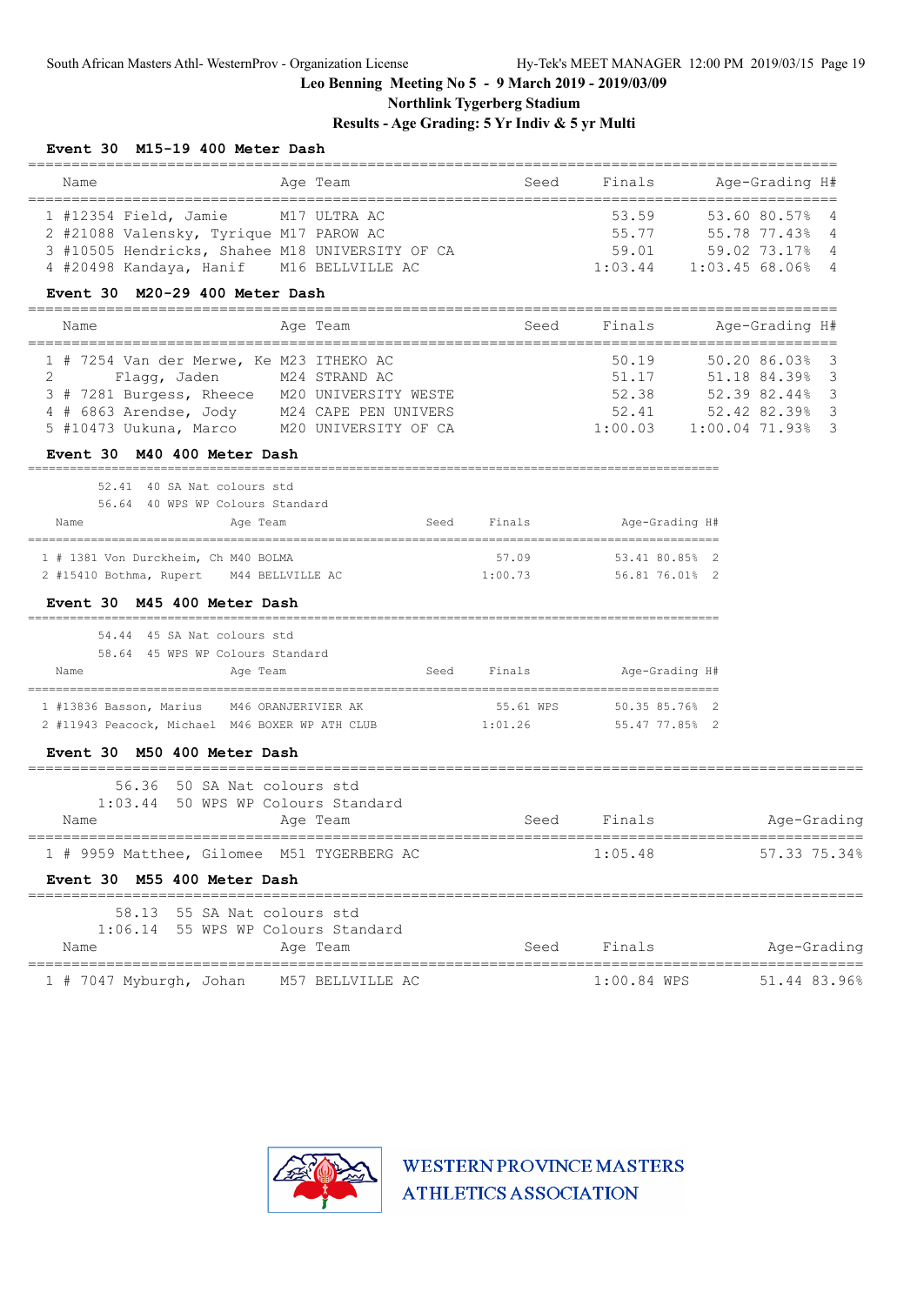**Northlink Tygerberg Stadium**

**Results - Age Grading: 5 Yr Indiv & 5 yr Multi**

| Event 30 M15-19 400 Meter Dash |  |
|--------------------------------|--|
|--------------------------------|--|

| Name<br>Age Team                                                                                                                                                                                                                                                                  |             |                                            | Seed Finals Age-Grading H#                                                                                               |
|-----------------------------------------------------------------------------------------------------------------------------------------------------------------------------------------------------------------------------------------------------------------------------------|-------------|--------------------------------------------|--------------------------------------------------------------------------------------------------------------------------|
| 1 #12354 Field, Jamie M17 ULTRA AC<br>2 #21088 Valensky, Tyrique M17 PAROW AC<br>3 #10505 Hendricks, Shahee M18 UNIVERSITY OF CA<br>4 #20498 Kandaya, Hanif M16 BELLVILLE AC                                                                                                      |             |                                            | 53.59 53.60 80.57% 4<br>55.77 55.78 77.43% 4<br>59.01 59.02 73.17% 4<br>1:03.44 1:03.45 68.06% 4                         |
| Event 30 M20-29 400 Meter Dash                                                                                                                                                                                                                                                    |             |                                            |                                                                                                                          |
| Age Team<br>Name                                                                                                                                                                                                                                                                  |             |                                            | Seed Finals Age-Grading H#                                                                                               |
| 1 # 7254 Van der Merwe, Ke M23 ITHEKO AC<br>$\mathbf{2}^{\mathbf{2}}$<br>Flagg, Jaden M24 STRAND AC<br>3 # 7281 Burgess, Rheece M20 UNIVERSITY WESTE<br>4 # 6863 Arendse, Jody M24 CAPE PEN UNIVERS<br>5 #10473 Uukuna, Marco M20 UNIVERSITY OF CA<br>Event 30 M40 400 Meter Dash |             |                                            | 50.19 50.20 86.03% 3<br>51.17 51.18 84.39% 3<br>52.38 52.39 82.44% 3<br>52.41 52.42 82.39% 3<br>1:00.03 1:00.04 71.93% 3 |
| 52.41 40 SA Nat colours std<br>56.64 40 WPS WP Colours Standard<br>Age Team<br>Name                                                                                                                                                                                               |             | Seed Finals Mage-Grading H#                |                                                                                                                          |
| 1 # 1381 Von Durckheim, Ch M40 BOLMA<br>2 #15410 Bothma, Rupert M44 BELLVILLE AC<br>Event 30 M45 400 Meter Dash                                                                                                                                                                   | 57.09       | 53.41 80.85% 2<br>1:00.73 56.81 76.01% 2   |                                                                                                                          |
| 54.44 45 SA Nat colours std<br>58.64 45 WPS WP Colours Standard<br>Name<br>Age Team                                                                                                                                                                                               |             | Seed Finals Mge-Grading H#                 |                                                                                                                          |
| 1 #13836 Basson, Marius M46 ORANJERIVIER AK<br>2 #11943 Peacock, Michael M46 BOXER WP ATH CLUB 1:01.26<br>Event 30 M50 400 Meter Dash                                                                                                                                             |             | 55.61 WPS 50.35 85.76% 2<br>55.47 77.85% 2 |                                                                                                                          |
| 56.36 50 SA Nat colours std<br>1:03.44 50 WPS WP Colours Standard<br>Age Team<br>Name                                                                                                                                                                                             | Seed Finals |                                            | Aqe-Gradinq                                                                                                              |
| 1 # 9959 Matthee, Gilomee M51 TYGERBERG AC<br>Event 30 M55 400 Meter Dash                                                                                                                                                                                                         |             | 1:05.48                                    | 57.33 75.34%                                                                                                             |
| 58.13 55 SA Nat colours std<br>1:06.14 55 WPS WP Colours Standard<br>Name<br>Age Team                                                                                                                                                                                             | Seed        | Finals                                     | Age-Grading                                                                                                              |
| 1 # 7047 Myburgh, Johan<br>M57 BELLVILLE AC                                                                                                                                                                                                                                       |             | $1:00.84$ WPS                              | 51.44 83.96%                                                                                                             |

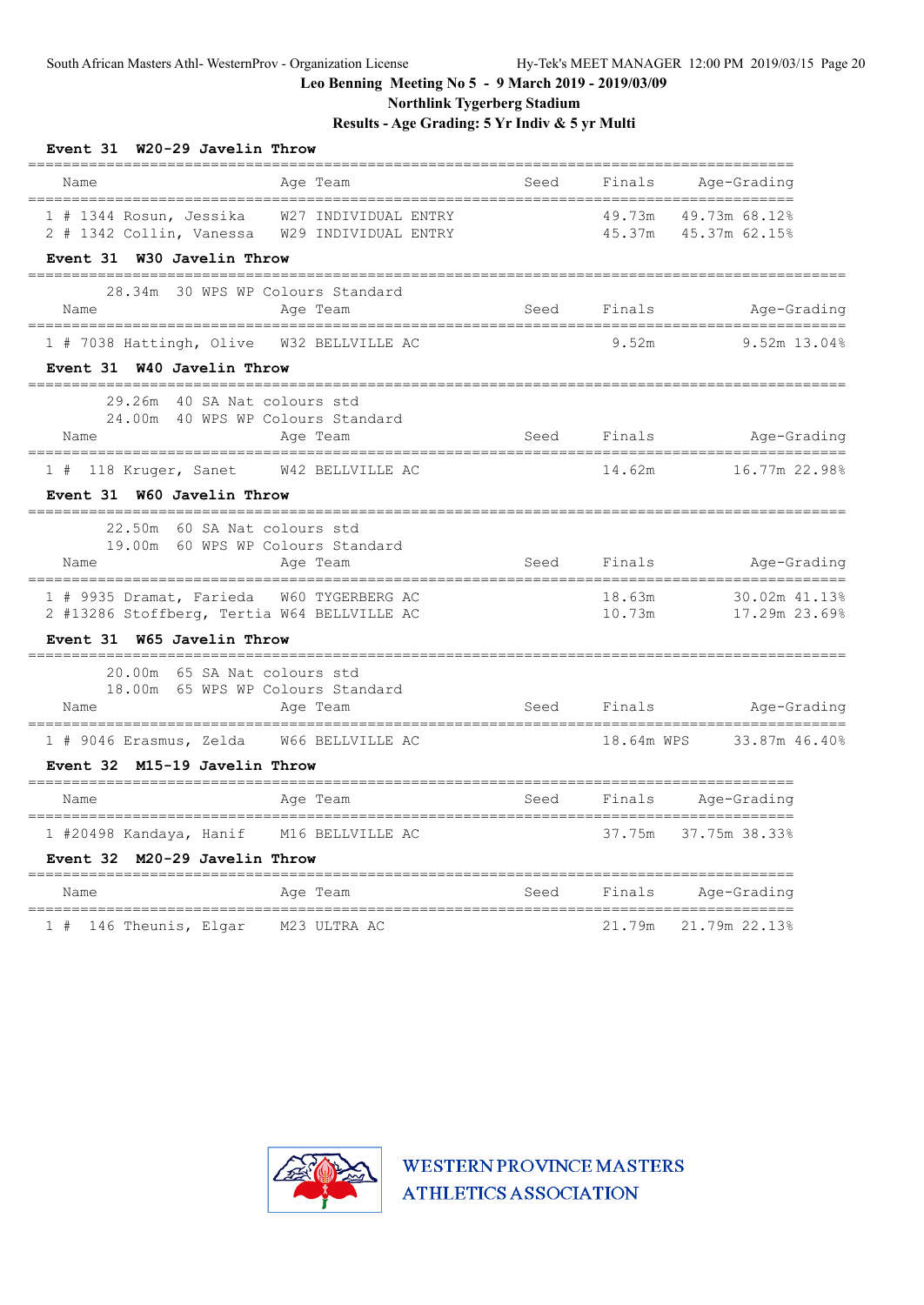**Northlink Tygerberg Stadium**

**Results - Age Grading: 5 Yr Indiv & 5 yr Multi**

| Event 31 W20-29 Javelin Throw<br>__________________________________                                                            |      |                  |                                   |
|--------------------------------------------------------------------------------------------------------------------------------|------|------------------|-----------------------------------|
| Age Team<br>Name                                                                                                               | Seed | Finals           | Age-Grading                       |
| 1 # 1344 Rosun, Jessika W27 INDIVIDUAL ENTRY<br>2 # 1342 Collin, Vanessa W29 INDIVIDUAL ENTRY                                  |      | 49.73m<br>45.37m | 49.73m 68.12%<br>45.37m 62.15%    |
| Event 31 W30 Javelin Throw<br>--------------------                                                                             |      |                  |                                   |
| 28.34m 30 WPS WP Colours Standard<br>Name<br>Age Team                                                                          |      | Seed Finals      | Age-Grading                       |
| 1 # 7038 Hattingh, Olive W32 BELLVILLE AC<br>Event 31 W40 Javelin Throw                                                        |      | 9.52m            | 9.52m 13.04%                      |
| 29.26m 40 SA Nat colours std<br>24.00m 40 WPS WP Colours Standard<br>Age Team<br>Name                                          |      | Seed Finals      | Age-Grading                       |
| 1 # 118 Kruger, Sanet W42 BELLVILLE AC<br>Event 31 W60 Javelin Throw<br>__________________________<br>________________________ |      | 14.62m           | 16.77m 22.98%<br>================ |
| 22.50m 60 SA Nat colours std<br>19.00m 60 WPS WP Colours Standard<br>Age Team<br>Name                                          |      | Seed Finals      | Age-Grading                       |
| 1 # 9935 Dramat, Farieda W60 TYGERBERG AC<br>2 #13286 Stoffberg, Tertia W64 BELLVILLE AC<br>Event 31 W65 Javelin Throw         |      | 18.63m<br>10.73m | 30.02m 41.13%<br>17.29m 23.69%    |
| 20.00m 65 SA Nat colours std                                                                                                   |      |                  |                                   |
| 18.00m 65 WPS WP Colours Standard<br>Age Team<br>Name<br>======================================                                |      | Seed Finals      | Age-Grading                       |
| 1 # 9046 Erasmus, Zelda W66 BELLVILLE AC<br>Event 32 M15-19 Javelin Throw                                                      |      |                  | 18.64m WPS 33.87m 46.40%          |
| Age Team<br>Name                                                                                                               |      |                  | Seed Finals Age-Grading           |
| 1 #20498 Kandaya, Hanif M16 BELLVILLE AC<br>Event 32 M20-29 Javelin Throw                                                      |      | 37.75m           | 37.75m 38.33%                     |
| Age Team<br>Name                                                                                                               | Seed | Finals           | Age-Grading                       |
| 1 # 146 Theunis, Elgar M23 ULTRA AC                                                                                            |      | 21.79m           | ---------------<br>21.79m 22.13%  |

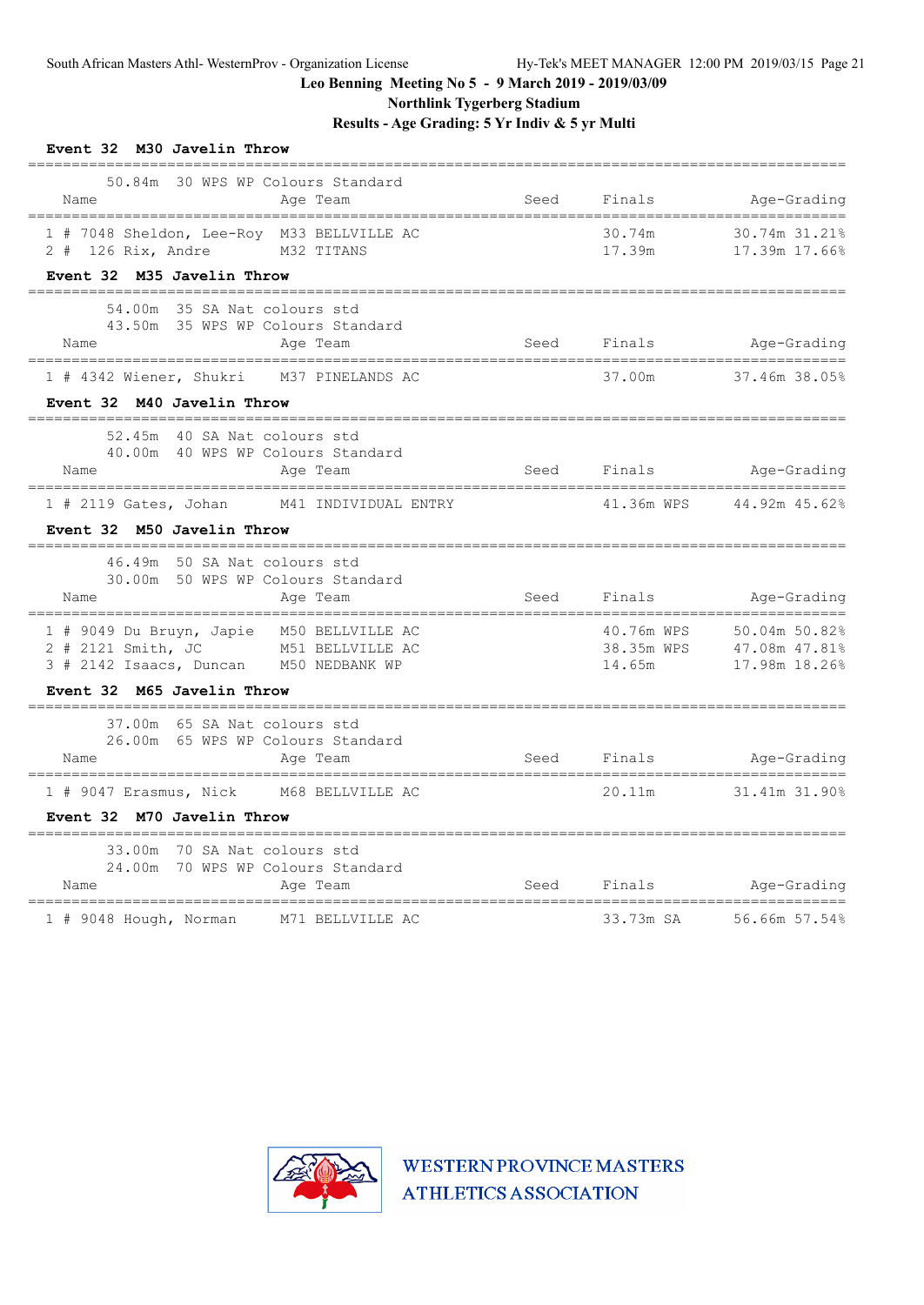**Northlink Tygerberg Stadium**

**Results - Age Grading: 5 Yr Indiv & 5 yr Multi**

| Event 32 M30 Javelin Throw<br>===================                                                                          |                        |                  |                                                                       |
|----------------------------------------------------------------------------------------------------------------------------|------------------------|------------------|-----------------------------------------------------------------------|
| 50.84m 30 WPS WP Colours Standard<br>Age Team<br>Name                                                                      |                        | Seed Finals      | Age-Grading                                                           |
| 1 # 7048 Sheldon, Lee-Roy M33 BELLVILLE AC<br>2 # 126 Rix, Andre M32 TITANS                                                |                        | 30.74m<br>17.39m | 30.74m 31.21%<br>17.39m 17.66%                                        |
| Event 32 M35 Javelin Throw                                                                                                 |                        |                  |                                                                       |
| 54.00m 35 SA Nat colours std<br>43.50m 35 WPS WP Colours Standard<br>Age Team<br>Name                                      |                        |                  | Seed Finals Age-Grading                                               |
| 1 # 4342 Wiener, Shukri M37 PINELANDS AC                                                                                   |                        | 37.00m           | 37.46m 38.05%                                                         |
| Event 32 M40 Javelin Throw                                                                                                 | ______________________ |                  |                                                                       |
| 52.45m 40 SA Nat colours std<br>40.00m 40 WPS WP Colours Standard<br>Name<br>Age Team                                      |                        |                  | =============<br>Seed Finals Age-Grading                              |
| 1 # 2119 Gates, Johan M41 INDIVIDUAL ENTRY                                                                                 |                        |                  | 41.36m WPS 44.92m 45.62%                                              |
| Event 32 M50 Javelin Throw                                                                                                 |                        |                  |                                                                       |
| 46.49m 50 SA Nat colours std<br>30.00m 50 WPS WP Colours Standard<br>Name<br>Age Team                                      | Seed Finals            |                  | Age-Grading                                                           |
| 1 # 9049 Du Bruyn, Japie M50 BELLVILLE AC<br>2 # 2121 Smith, JC M51 BELLVILLE AC<br>3 # 2142 Isaacs, Duncan M50 NEDBANK WP |                        | 14.65m           | 40.76m WPS 50.04m 50.82%<br>38.35m WPS 47.08m 47.81%<br>17.98m 18.26% |
| Event 32 M65 Javelin Throw                                                                                                 |                        |                  |                                                                       |
| 37.00m 65 SA Nat colours std<br>26.00m 65 WPS WP Colours Standard<br>Name<br>Age Team                                      |                        |                  | Seed Finals Age-Grading                                               |
| --------------------------------<br>1 # 9047 Erasmus, Nick M68 BELLVILLE AC                                                |                        |                  | 20.11m 31.41m 31.90%                                                  |
| Event 32 M70 Javelin Throw                                                                                                 |                        |                  |                                                                       |
| 33.00m 70 SA Nat colours std<br>24.00m 70 WPS WP Colours Standard<br>Name<br>Aqe Team                                      |                        |                  | Seed Finals Age-Grading                                               |
| 1 # 9048 Hough, Norman M71 BELLVILLE AC                                                                                    |                        | 33.73m SA        | 56.66m 57.54%                                                         |

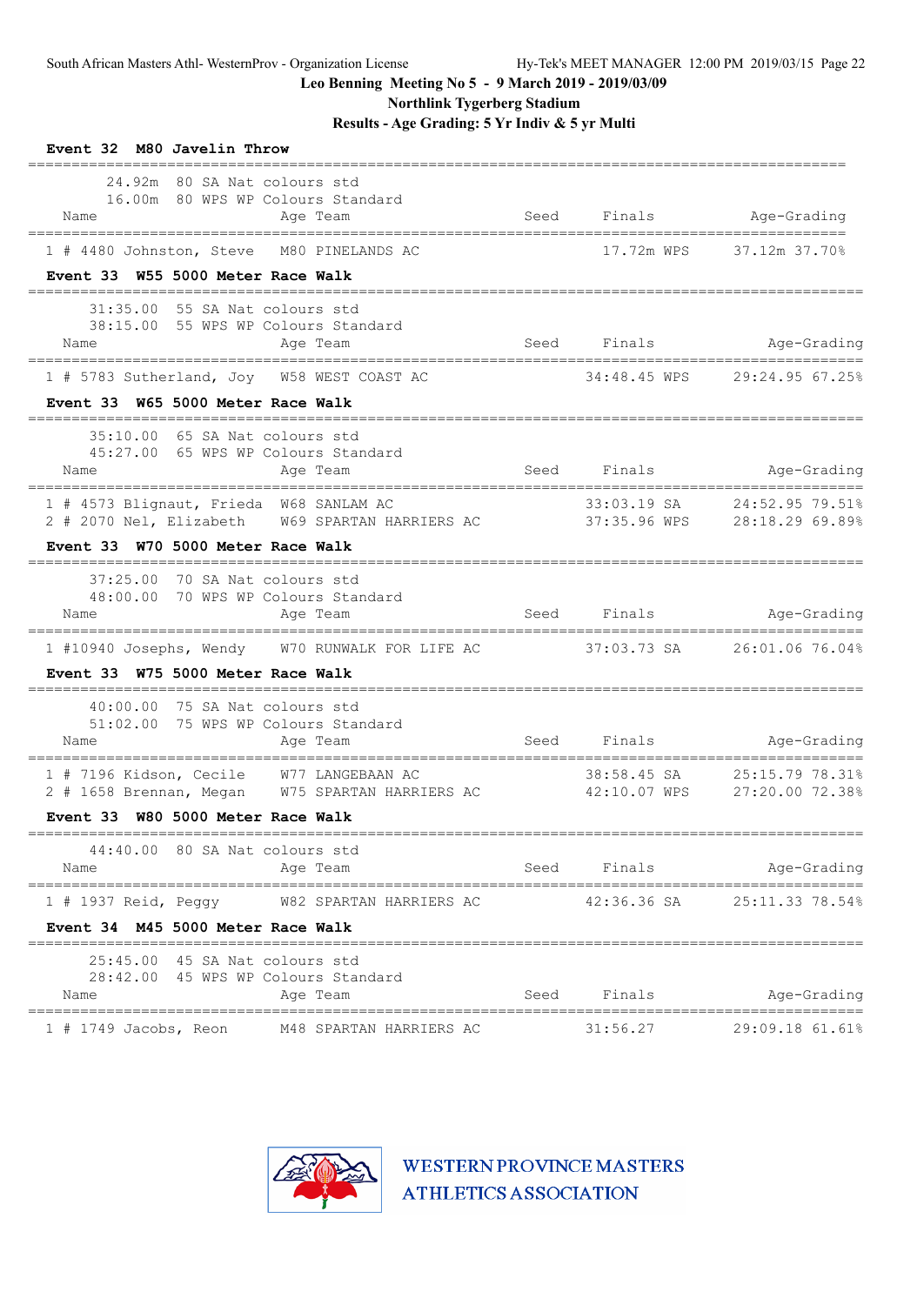**Northlink Tygerberg Stadium**

**Results - Age Grading: 5 Yr Indiv & 5 yr Multi**

| Event 32 M80 Javelin Throw                                                                                                                                                                                            |      |                        |                                                             |
|-----------------------------------------------------------------------------------------------------------------------------------------------------------------------------------------------------------------------|------|------------------------|-------------------------------------------------------------|
| 24.92m 80 SA Nat colours std<br>16.00m 80 WPS WP Colours Standard<br>Name<br>Age Team                                                                                                                                 | Seed |                        | Finals Age-Grading                                          |
| 1 # 4480 Johnston, Steve M80 PINELANDS AC                                                                                                                                                                             |      | 17.72m WPS             | 37.12m 37.70%                                               |
| Event 33 W55 5000 Meter Race Walk                                                                                                                                                                                     |      |                        |                                                             |
| 55 SA Nat colours std<br>31:35.00<br>38:15.00 55 WPS WP Colours Standard<br>Age Team<br>Name<br>1 # 5783 Sutherland, Joy W58 WEST COAST AC                                                                            | Seed | Finals<br>34:48.45 WPS | Age-Grading<br>29:24.95 67.25%                              |
| Event 33 W65 5000 Meter Race Walk                                                                                                                                                                                     |      |                        |                                                             |
| 35:10.00 65 SA Nat colours std<br>45:27.00 65 WPS WP Colours Standard<br>Age Team<br>Name                                                                                                                             |      | Seed Finals            | Age-Grading                                                 |
| 1 # 4573 Blignaut, Frieda W68 SANLAM AC<br>2 # 2070 Nel, Elizabeth W69 SPARTAN HARRIERS AC<br>Event 33 W70 5000 Meter Race Walk                                                                                       |      |                        | 33:03.19 SA 24:52.95 79.51%<br>37:35.96 WPS 28:18.29 69.89% |
| 70 SA Nat colours std<br>37:25.00<br>48:00.00 70 WPS WP Colours Standard<br>Age Team<br>Name                                                                                                                          |      |                        | Seed Finals Age-Grading                                     |
| ====================================<br>1 #10940 Josephs, Wendy W70 RUNWALK FOR LIFE AC 37:03.73 SA 26:01.06 76.04%<br>Event 33 W75 5000 Meter Race Walk                                                              |      |                        |                                                             |
| 40:00.00 75 SA Nat colours std<br>51:02.00 75 WPS WP Colours Standard<br>Age Team<br>Name<br>1 # 7196 Kidson, Cecile W77 LANGEBAAN AC<br>2 # 1658 Brennan, Megan W75 SPARTAN HARRIERS AC 42:10.07 WPS 27:20.00 72.38% |      | Seed Finals            | Age-Grading<br>38:58.45 SA 25:15.79 78.31%                  |
| Event 33 W80 5000 Meter Race Walk                                                                                                                                                                                     |      |                        |                                                             |
| 44:40.00 80 SA Nat colours std<br>Age Team<br>Name                                                                                                                                                                    |      | Seed Finals            | ================<br>Age-Grading                             |
| $1$ # 1937 Reid, Peggy<br>W82 SPARTAN HARRIERS AC<br>Event 34 M45 5000 Meter Race Walk                                                                                                                                |      | 42:36.36 SA            | 25:11.33 78.54%                                             |
| 25:45.00 45 SA Nat colours std<br>28:42.00 45 WPS WP Colours Standard<br>Name<br>Age Team<br>================================<br>===================================                                                  | Seed | Finals                 | Age-Grading<br>===================                          |
| $1$ # 1749 Jacobs, Reon<br>M48 SPARTAN HARRIERS AC                                                                                                                                                                    |      | 31:56.27               | 29:09.18 61.61%                                             |

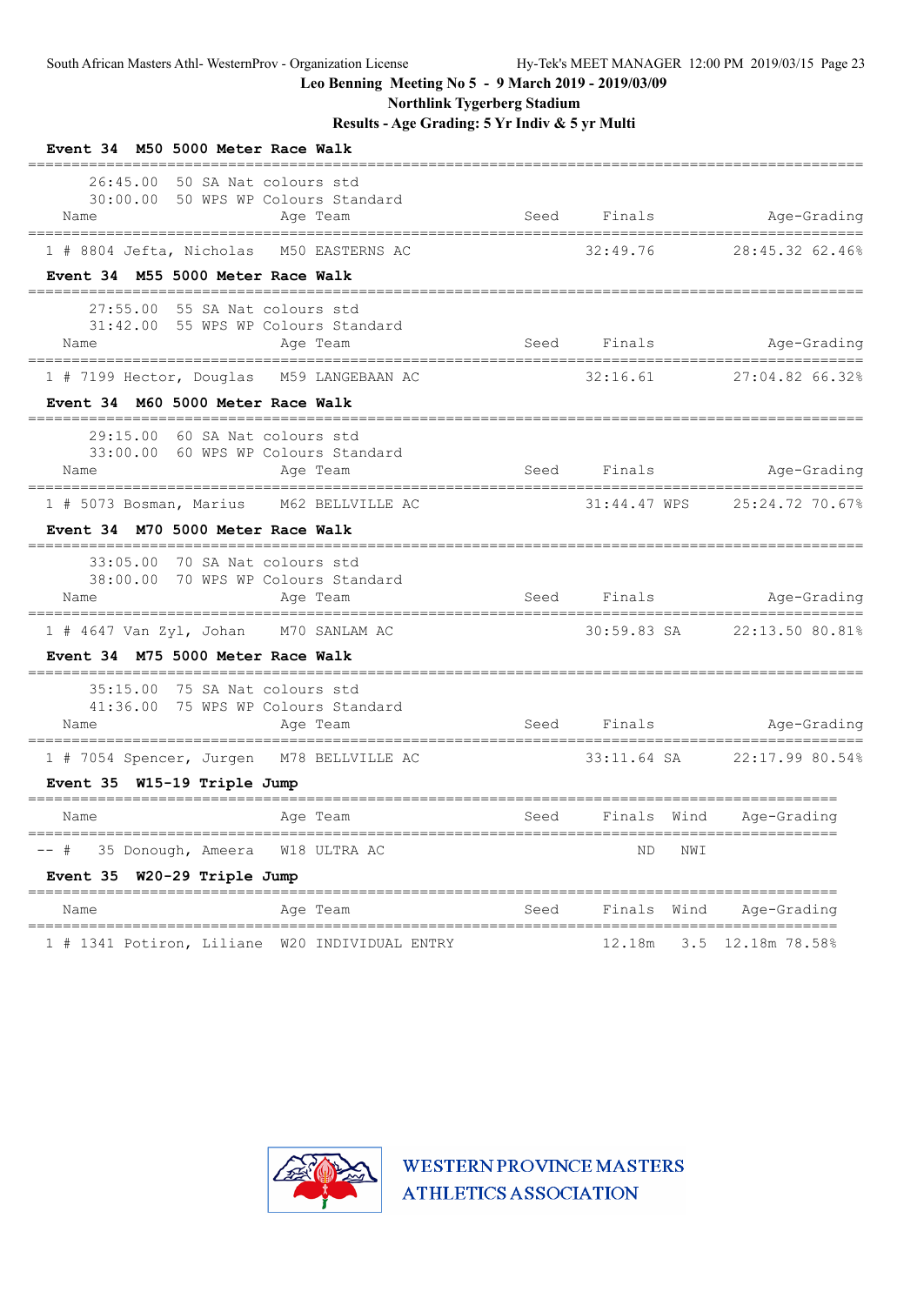**Northlink Tygerberg Stadium**

**Results - Age Grading: 5 Yr Indiv & 5 yr Multi**

| Event 34 M50 5000 Meter Race Walk                                                                                                    |      |              |                                                              |
|--------------------------------------------------------------------------------------------------------------------------------------|------|--------------|--------------------------------------------------------------|
| 50 SA Nat colours std<br>26:45.00<br>30:00.00<br>50 WPS WP Colours Standard<br>Name<br>Age Team<br>================================= | Seed | Finals       | Age-Grading                                                  |
| M50 EASTERNS AC<br>1 # 8804 Jefta, Nicholas                                                                                          |      | 32:49.76     | 28:45.32 62.46%                                              |
| Event 34 M55 5000 Meter Race Walk                                                                                                    |      |              |                                                              |
| 27:55.00<br>55 SA Nat colours std<br>31:42.00 55 WPS WP Colours Standard<br>Age Team<br>Name<br>________                             |      | Seed Finals  | Age-Grading                                                  |
| 1 # 7199 Hector, Douglas M59 LANGEBAAN AC                                                                                            |      | 32:16.61     | 27:04.82 66.32%                                              |
| Event 34 M60 5000 Meter Race Walk                                                                                                    |      |              |                                                              |
| 29:15.00<br>60 SA Nat colours std<br>33:00.00 60 WPS WP Colours Standard<br>Name<br>Age Team                                         | Seed | Finals       | Age-Grading                                                  |
| M62 BELLVILLE AC<br>1 # 5073 Bosman, Marius                                                                                          |      | 31:44.47 WPS | 25:24.72 70.67%                                              |
| Event 34 M70 5000 Meter Race Walk                                                                                                    |      |              |                                                              |
| 33:05.00 70 SA Nat colours std<br>38:00.00 70 WPS WP Colours Standard<br>Name<br>Age Team                                            | Seed | Finals       | Age-Grading                                                  |
| 1 # 4647 Van Zyl, Johan M70 SANLAM AC<br>Event 34 M75 5000 Meter Race Walk                                                           |      | 30:59.83 SA  | 22:13.50 80.81%                                              |
| 35:15.00<br>75 SA Nat colours std<br>41:36.00 75 WPS WP Colours Standard<br>Age Team<br>Name                                         | Seed | Finals       | Age-Grading                                                  |
| 1 # 7054 Spencer, Jurgen M78 BELLVILLE AC                                                                                            |      | 33:11.64 SA  | 22:17.99 80.54%                                              |
| Event 35 W15-19 Triple Jump<br>=====================<br>=============                                                                |      |              |                                                              |
| Name<br>Age Team<br>=================================                                                                                | Seed | Finals Wind  | ============================<br>Age-Grading<br>------------- |
| 35 Donough, Ameera W18 ULTRA AC                                                                                                      |      | NWI<br>ND.   |                                                              |
| Event 35 W20-29 Triple Jump                                                                                                          |      |              |                                                              |
| Age Team<br>Name                                                                                                                     | Seed | Finals Wind  | Age-Grading                                                  |
| ===================================<br>1 # 1341 Potiron, Liliane W20 INDIVIDUAL ENTRY                                                |      | 12.18m       | 3.5 12.18m 78.58%                                            |

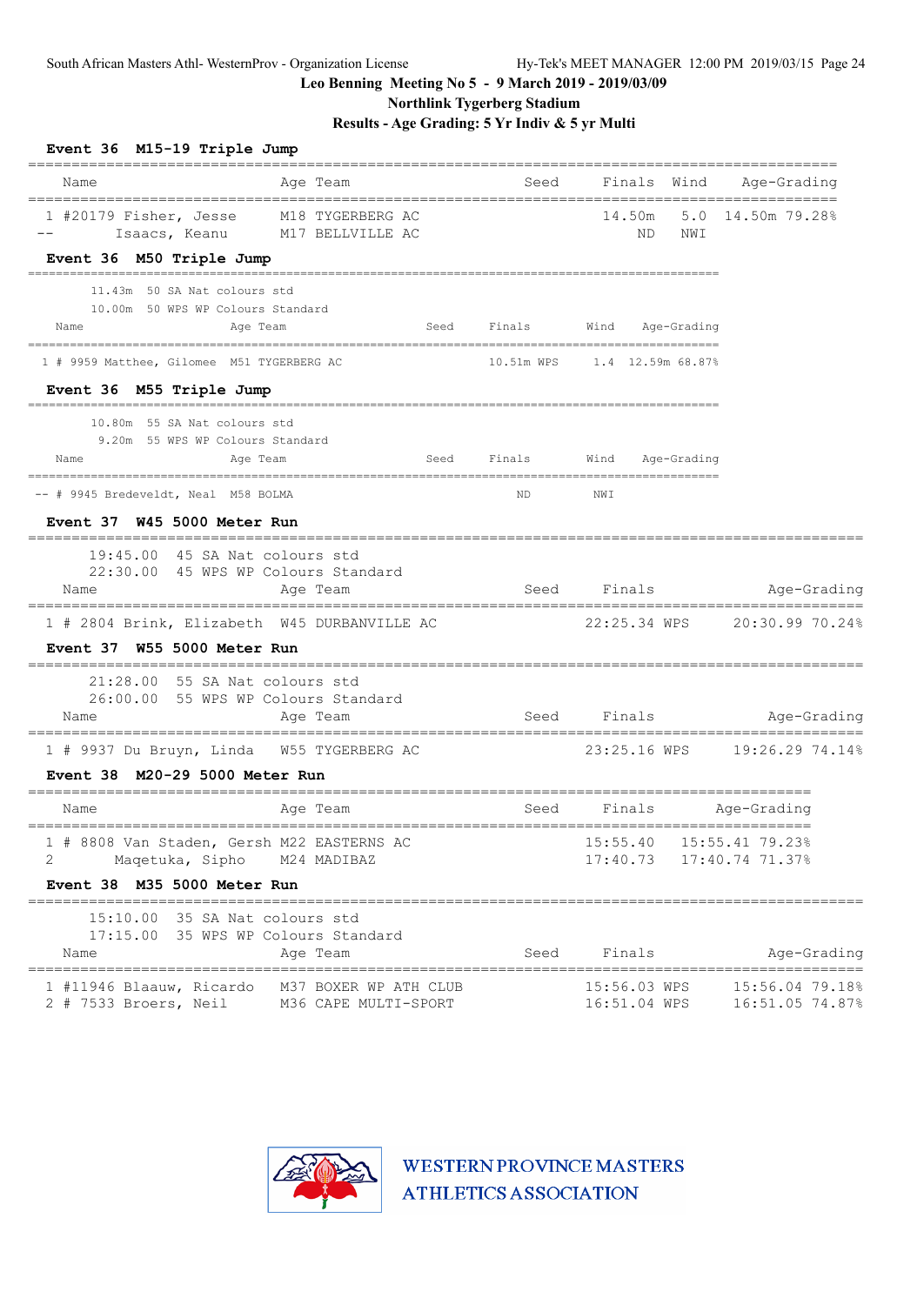**Northlink Tygerberg Stadium**

**Results - Age Grading: 5 Yr Indiv & 5 yr Multi**

| Name<br>=================================                                      | Age Team                       | ---------------------------           |          |        |                  | Seed Finals Wind Age-Grading                     |
|--------------------------------------------------------------------------------|--------------------------------|---------------------------------------|----------|--------|------------------|--------------------------------------------------|
| 1 #20179 Fisher, Jesse M18 TYGERBERG AC<br>Event 36 M50 Triple Jump            | Isaacs, Keanu M17 BELLVILLE AC |                                       |          | ND.    | NWI              | 14.50m 5.0 14.50m 79.28%                         |
| 11.43m 50 SA Nat colours std                                                   |                                |                                       |          |        |                  |                                                  |
| 10.00m 50 WPS WP Colours Standard                                              |                                |                                       |          |        |                  |                                                  |
| Name<br>Age Team                                                               |                                | Seed Finals                           |          |        | Wind Age-Grading |                                                  |
| 1 # 9959 Matthee, Gilomee M51 TYGERBERG AC                                     |                                | 10.51m WPS    1.4    12.59m    68.87% |          |        |                  |                                                  |
| Event 36 M55 Triple Jump                                                       |                                |                                       |          |        |                  |                                                  |
| 10.80m 55 SA Nat colours std                                                   |                                |                                       |          |        |                  |                                                  |
| 9.20m 55 WPS WP Colours Standard<br>Name<br>Age Team                           |                                | Seed Finals                           | Wind     |        | Age-Grading      |                                                  |
|                                                                                |                                |                                       |          |        |                  |                                                  |
| -- # 9945 Bredeveldt, Neal M58 BOLMA                                           |                                | ND                                    | NWI      |        |                  |                                                  |
| Event 37 W45 5000 Meter Run                                                    |                                |                                       |          |        |                  |                                                  |
| 19:45.00 45 SA Nat colours std                                                 |                                |                                       |          |        |                  |                                                  |
| 22:30.00 45 WPS WP Colours Standard<br>Name                                    | Age Team                       | Seed Finals                           |          |        |                  | Age-Grading                                      |
| 1 # 2804 Brink, Elizabeth W45 DURBANVILLE AC                                   |                                |                                       |          |        |                  | ================<br>22:25.34 WPS 20:30.99 70.24% |
| Event 37 W55 5000 Meter Run                                                    |                                |                                       |          |        |                  |                                                  |
| $21:28.00$ 55 SA Nat colours std                                               |                                |                                       |          |        |                  |                                                  |
| 26:00.00 55 WPS WP Colours Standard                                            |                                |                                       |          |        |                  |                                                  |
| Name                                                                           | Age Team                       | Seed Finals                           |          |        |                  | Aqe-Grading<br>============                      |
| 1 # 9937 Du Bruyn, Linda W55 TYGERBERG AC                                      |                                |                                       |          |        |                  |                                                  |
| Event 38 M20-29 5000 Meter Run                                                 |                                |                                       |          |        |                  |                                                  |
| Name                                                                           | Age Team                       | Seed                                  |          |        |                  | Finals Age-Grading                               |
|                                                                                |                                |                                       |          |        |                  | 15:55.40  15:55.41  79.23%                       |
|                                                                                |                                |                                       | 17:40.73 |        |                  | 17:40.74 71.37%                                  |
| 1 # 8808 Van Staden, Gersh M22 EASTERNS AC<br>2<br>Maqetuka, Sipho M24 MADIBAZ |                                |                                       |          |        |                  |                                                  |
| Event 38 M35 5000 Meter Run                                                    |                                |                                       |          |        |                  |                                                  |
| 15:10.00 35 SA Nat colours std                                                 |                                |                                       |          |        |                  |                                                  |
| 17:15.00 35 WPS WP Colours Standard                                            |                                |                                       |          |        |                  |                                                  |
| Name                                                                           | Age Team                       | Seed                                  |          | Finals |                  | Age-Grading                                      |

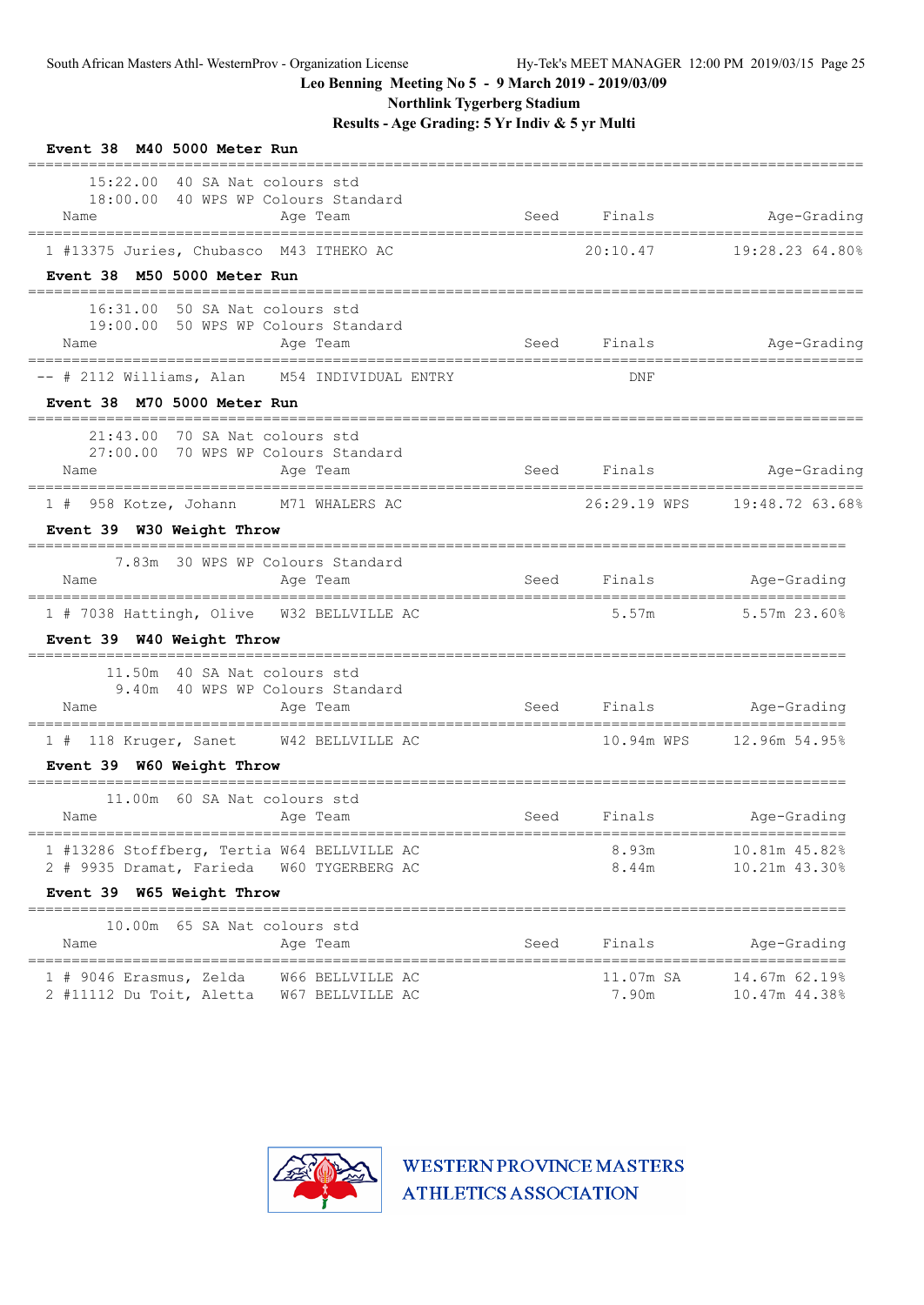**Northlink Tygerberg Stadium**

**Results - Age Grading: 5 Yr Indiv & 5 yr Multi**

| Event 38 M40 5000 Meter Run                                                   |                                      |             |                    |                                |
|-------------------------------------------------------------------------------|--------------------------------------|-------------|--------------------|--------------------------------|
| 15:22.00 40 SA Nat colours std<br>18:00.00 40 WPS WP Colours Standard<br>Name | Age Team                             |             | Seed Finals        | Age-Grading                    |
| 1 #13375 Juries, Chubasco M43 ITHEKO AC                                       |                                      |             | 20:10.47           | 19:28.23 64.80%                |
| Event 38 M50 5000 Meter Run                                                   |                                      |             |                    |                                |
| 16:31.00 50 SA Nat colours std<br>19:00.00 50 WPS WP Colours Standard<br>Name | Age Team                             | Seed        | Finals             | Age-Grading                    |
| -- # 2112 Williams, Alan M54 INDIVIDUAL ENTRY                                 |                                      |             | <b>DNF</b>         |                                |
| Event 38 M70 5000 Meter Run                                                   |                                      |             |                    |                                |
| 21:43.00 70 SA Nat colours std<br>27:00.00 70 WPS WP Colours Standard<br>Name | Age Team                             |             | Seed Finals        | Age-Grading                    |
| 1 # 958 Kotze, Johann M71 WHALERS AC                                          |                                      |             |                    | 26:29.19 WPS 19:48.72 63.68%   |
| Event 39 W30 Weight Throw                                                     |                                      |             |                    |                                |
| 7.83m 30 WPS WP Colours Standard<br>Name                                      | Age Team                             | Seed Finals |                    | Age-Grading                    |
| 1 # 7038 Hattingh, Olive W32 BELLVILLE AC<br>Event 39 W40 Weight Throw        |                                      |             | 5.57m              | 5.57m 23.60%                   |
| 11.50m 40 SA Nat colours std<br>9.40m 40 WPS WP Colours Standard<br>Name      | Age Team                             |             |                    | Seed Finals Age-Grading        |
| 1 # 118 Kruger, Sanet W42 BELLVILLE AC                                        |                                      |             |                    |                                |
| Event 39 W60 Weight Throw                                                     |                                      |             |                    |                                |
| 11.00m 60 SA Nat colours std<br>Name                                          | Age Team                             |             | Seed Finals        | Age-Grading                    |
| 1 #13286 Stoffberg, Tertia W64 BELLVILLE AC<br>2 # 9935 Dramat, Farieda       | W60 TYGERBERG AC                     |             | 8.93m<br>8.44m     | 10.81m 45.82%<br>10.21m 43.30% |
| Event 39 W65 Weight Throw                                                     | ________________________________     |             |                    |                                |
| 65 SA Nat colours std<br>10.00m<br>Name<br>===============                    | Age Team                             | Seed        | Finals             | Age-Grading<br>===========     |
| 1 # 9046 Erasmus, Zelda<br>2 #11112 Du Toit, Aletta                           | W66 BELLVILLE AC<br>W67 BELLVILLE AC |             | 11.07m SA<br>7.90m | 14.67m 62.19%<br>10.47m 44.38% |